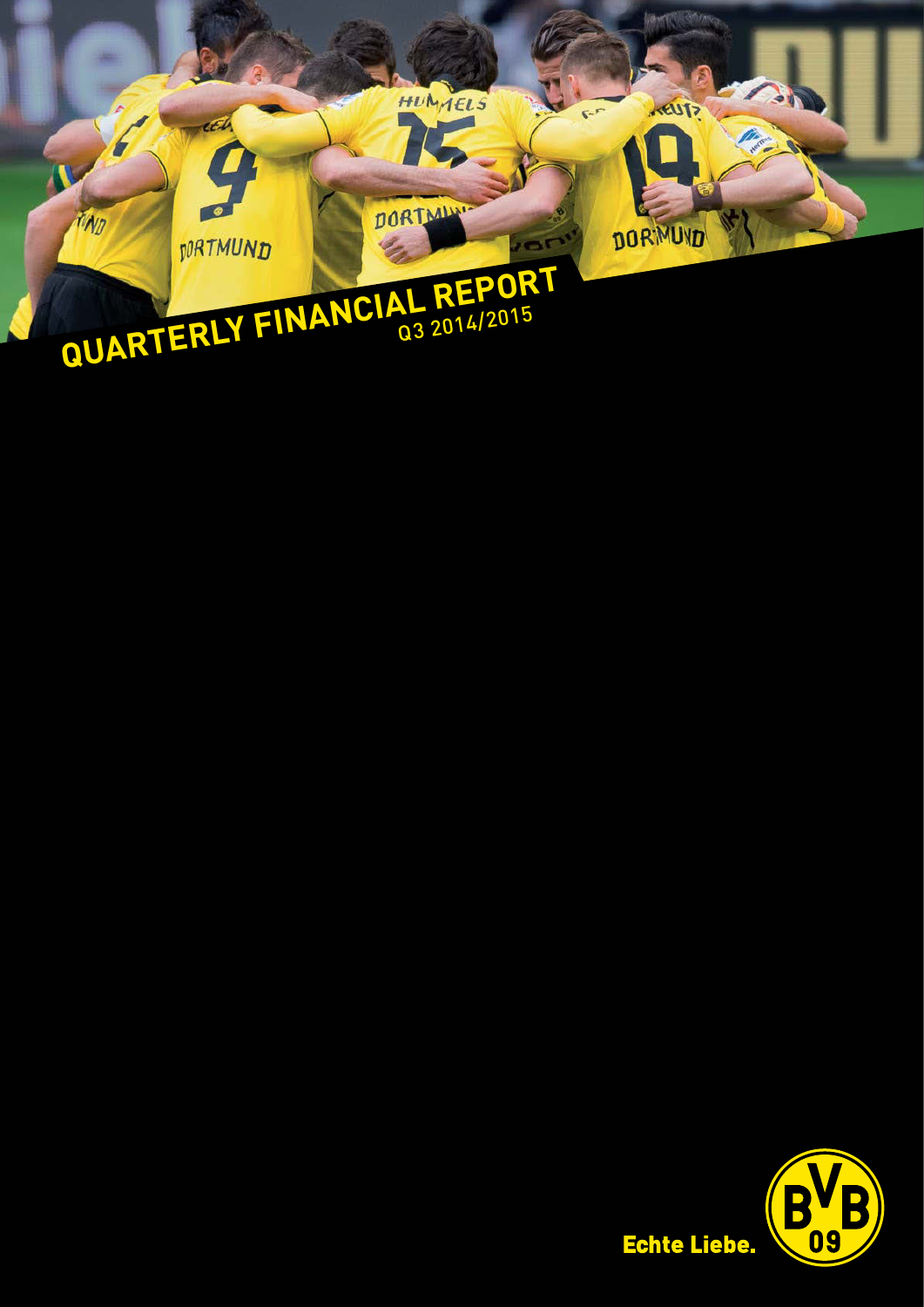

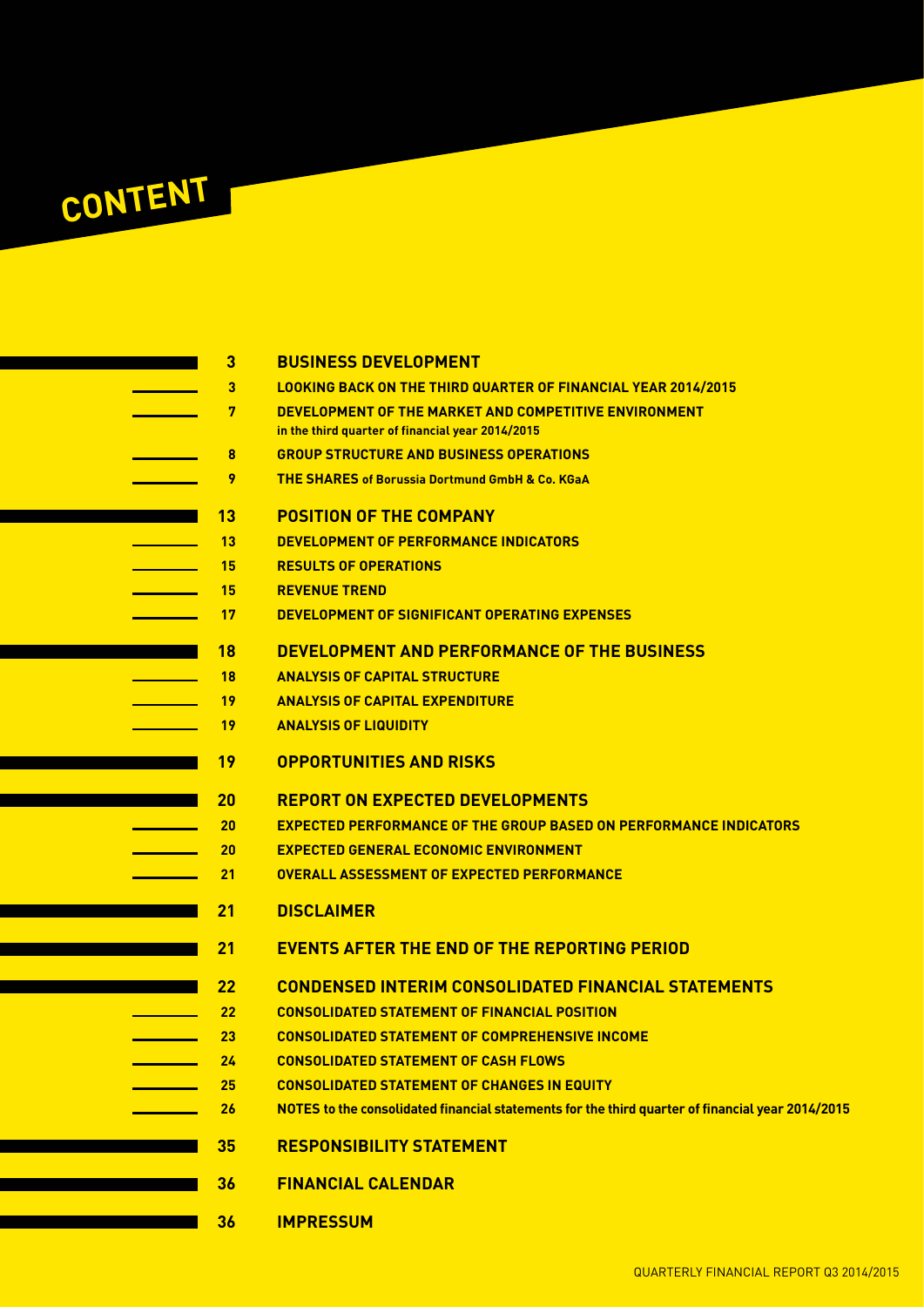

| $\overline{3}$    | <b>BUSINESS DEVELOPMENT</b>                                                                      |
|-------------------|--------------------------------------------------------------------------------------------------|
| 3                 | <b>LOOKING BACK ON THE THIRD QUARTER OF FINANCIAL YEAR 2014/2015</b>                             |
| 7                 | DEVELOPMENT OF THE MARKET AND COMPETITIVE ENVIRONMENT                                            |
|                   | in the third quarter of financial year 2014/2015                                                 |
| 8                 | <b>GROUP STRUCTURE AND BUSINESS OPERATIONS</b>                                                   |
| 9                 | <b>THE SHARES of Borussia Dortmund GmbH &amp; Co. KGaA</b>                                       |
| 13                | <b>POSITION OF THE COMPANY</b>                                                                   |
| 13                | DEVELOPMENT OF PERFORMANCE INDICATORS                                                            |
| 15                | <b>RESULTS OF OPERATIONS</b>                                                                     |
| 15                | <b>REVENUE TREND</b>                                                                             |
| 17                | DEVELOPMENT OF SIGNIFICANT OPERATING EXPENSES                                                    |
| <b>18</b>         | DEVELOPMENT AND PERFORMANCE OF THE BUSINESS                                                      |
| <b>18</b>         | <b>ANALYSIS OF CAPITAL STRUCTURE</b>                                                             |
| 19                | <b>ANALYSIS OF CAPITAL EXPENDITURE</b>                                                           |
| 19                | <b>ANALYSIS OF LIQUIDITY</b>                                                                     |
| <b>19</b>         | <b>OPPORTUNITIES AND RISKS</b>                                                                   |
| 20                | <b>REPORT ON EXPECTED DEVELOPMENTS</b>                                                           |
| 20                | <b>EXPECTED PERFORMANCE OF THE GROUP BASED ON PERFORMANCE INDICATORS</b>                         |
| 20                | <b>EXPECTED GENERAL ECONOMIC ENVIRONMENT</b>                                                     |
| 21                | <b>OVERALL ASSESSMENT OF EXPECTED PERFORMANCE</b>                                                |
| 21                | <b>DISCLAIMER</b>                                                                                |
|                   |                                                                                                  |
| 21                | <b>EVENTS AFTER THE END OF THE REPORTING PERIOD</b>                                              |
| 22                | <b>CONDENSED INTERIM CONSOLIDATED FINANCIAL STATEMENTS</b>                                       |
| $22 \overline{ }$ | <b>CONSOLIDATED STATEMENT OF FINANCIAL POSITION</b>                                              |
| 23                | <b>CONSOLIDATED STATEMENT OF COMPREHENSIVE INCOME</b>                                            |
| 24                | <b>CONSOLIDATED STATEMENT OF CASH FLOWS</b>                                                      |
| 25                | <b>CONSOLIDATED STATEMENT OF CHANGES IN EQUITY</b>                                               |
| 26                | NOTES to the consolidated financial statements for the third quarter of financial year 2014/2015 |
| 35                | <b>RESPONSIBILITY STATEMENT</b>                                                                  |
| 36                | <b>FINANCIAL CALENDAR</b>                                                                        |
| 36                | <b>IMPRESSUM</b>                                                                                 |
|                   |                                                                                                  |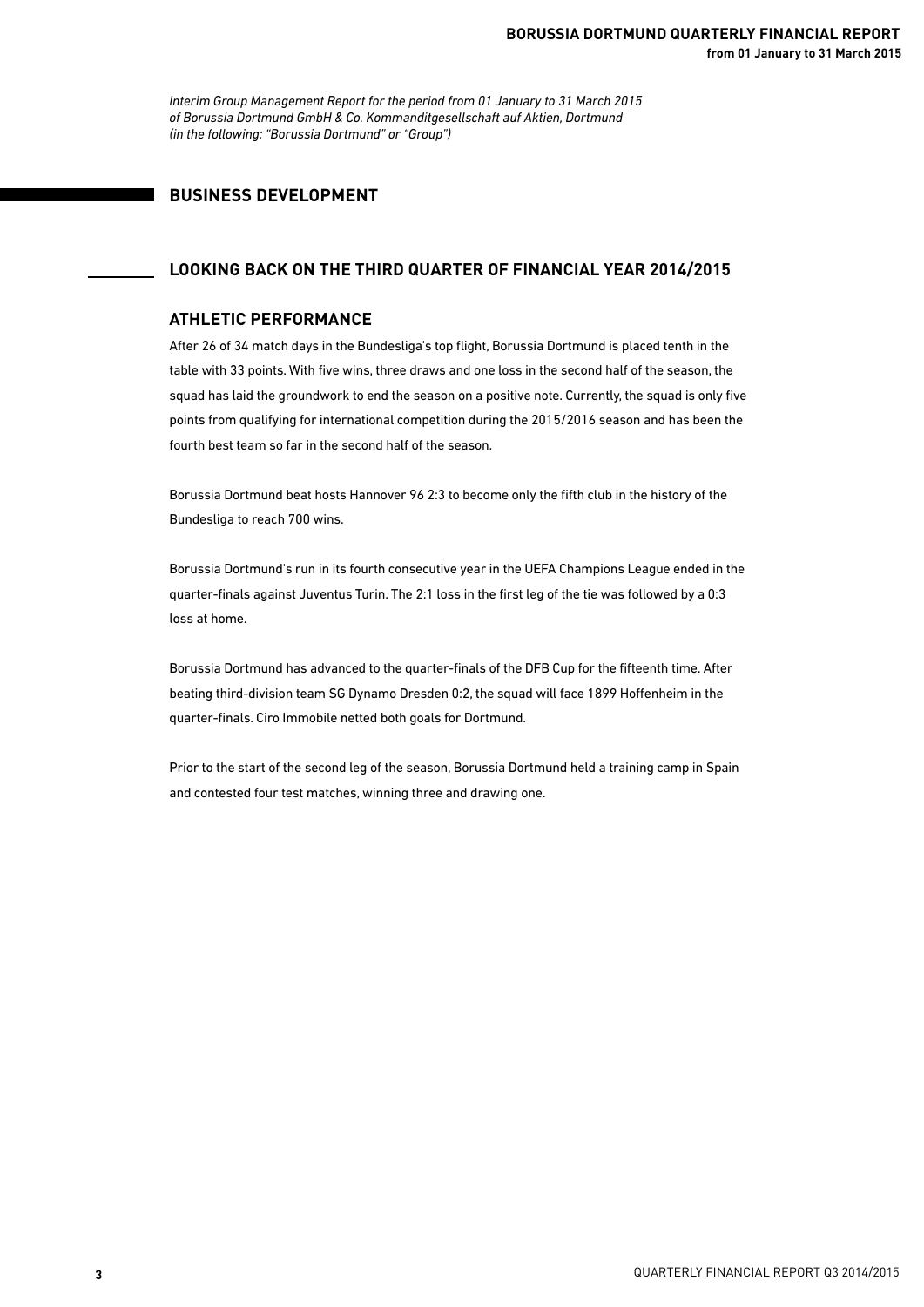*Interim Group Management Report for the period from 01 January to 31 March 2015 of Borussia Dortmund GmbH & Co. Kommanditgesellschaft auf Aktien, Dortmund (in the following: "Borussia Dortmund" or "Group")*

## **BUSINESS DEVELOPMENT**

### **LOOKING BACK ON THE THIRD QUARTER OF FINANCIAL YEAR 2014/2015**

### **ATHLETIC PERFORMANCE**

After 26 of 34 match days in the Bundesliga's top flight, Borussia Dortmund is placed tenth in the table with 33 points. With five wins, three draws and one loss in the second half of the season, the squad has laid the groundwork to end the season on a positive note. Currently, the squad is only five points from qualifying for international competition during the 2015/2016 season and has been the fourth best team so far in the second half of the season.

Borussia Dortmund beat hosts Hannover 96 2:3 to become only the fifth club in the history of the Bundesliga to reach 700 wins.

Borussia Dortmund's run in its fourth consecutive year in the UEFA Champions League ended in the quarter-finals against Juventus Turin. The 2:1 loss in the first leg of the tie was followed by a 0:3 loss at home.

Borussia Dortmund has advanced to the quarter-finals of the DFB Cup for the fifteenth time. After beating third-division team SG Dynamo Dresden 0:2, the squad will face 1899 Hoffenheim in the quarter-finals. Ciro Immobile netted both goals for Dortmund.

Prior to the start of the second leg of the season, Borussia Dortmund held a training camp in Spain and contested four test matches, winning three and drawing one.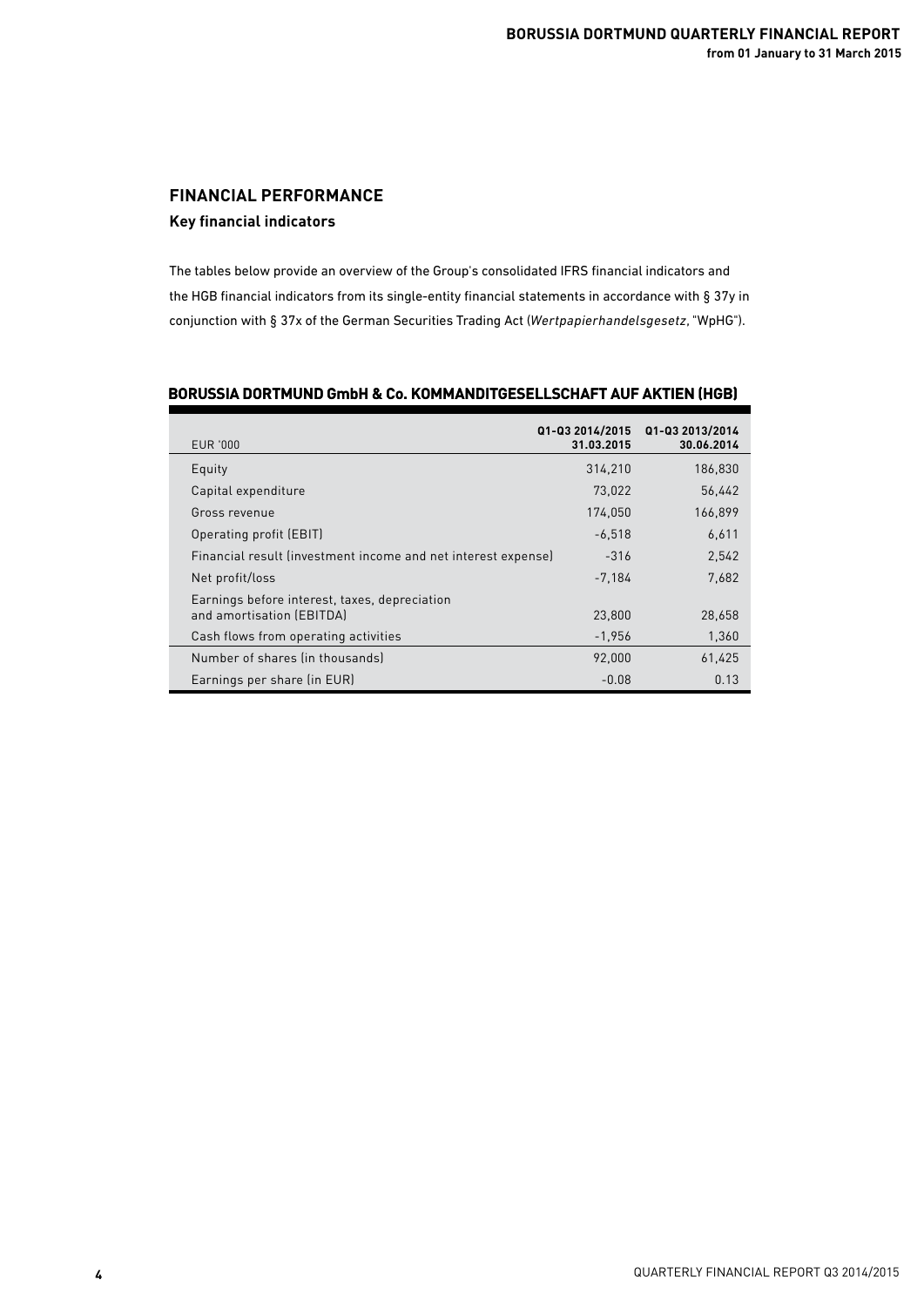## **FINANCIAL PERFORMANCE Key financial indicators**

The tables below provide an overview of the Group's consolidated IFRS financial indicators and the HGB financial indicators from its single-entity financial statements in accordance with § 37y in conjunction with § 37x of the German Securities Trading Act (*Wertpapierhandelsgesetz*, "WpHG").

| EUR '000                                                      | Q1-Q3 2014/2015<br>31.03.2015 | Q1-Q3 2013/2014<br>30.06.2014 |
|---------------------------------------------------------------|-------------------------------|-------------------------------|
| Equity                                                        | 314.210                       | 186.830                       |
| Capital expenditure                                           | 73.022                        | 56,442                        |
| Gross revenue                                                 | 174,050                       | 166,899                       |
| Operating profit (EBIT)                                       | $-6.518$                      | 6,611                         |
| Financial result (investment income and net interest expense) | $-316$                        | 2,542                         |
| Net profit/loss                                               | $-7.184$                      | 7.682                         |
| Earnings before interest, taxes, depreciation                 |                               |                               |
| and amortisation (EBITDA)                                     | 23,800                        | 28,658                        |
| Cash flows from operating activities                          | $-1,956$                      | 1,360                         |
| Number of shares (in thousands)                               | 92.000                        | 61,425                        |
| Earnings per share (in EUR)                                   | $-0.08$                       | 0.13                          |

### **BORUSSIA DORTMUND GmbH & Co. KOMMANDITGESELLSCHAFT AUF AKTIEN (HGB)**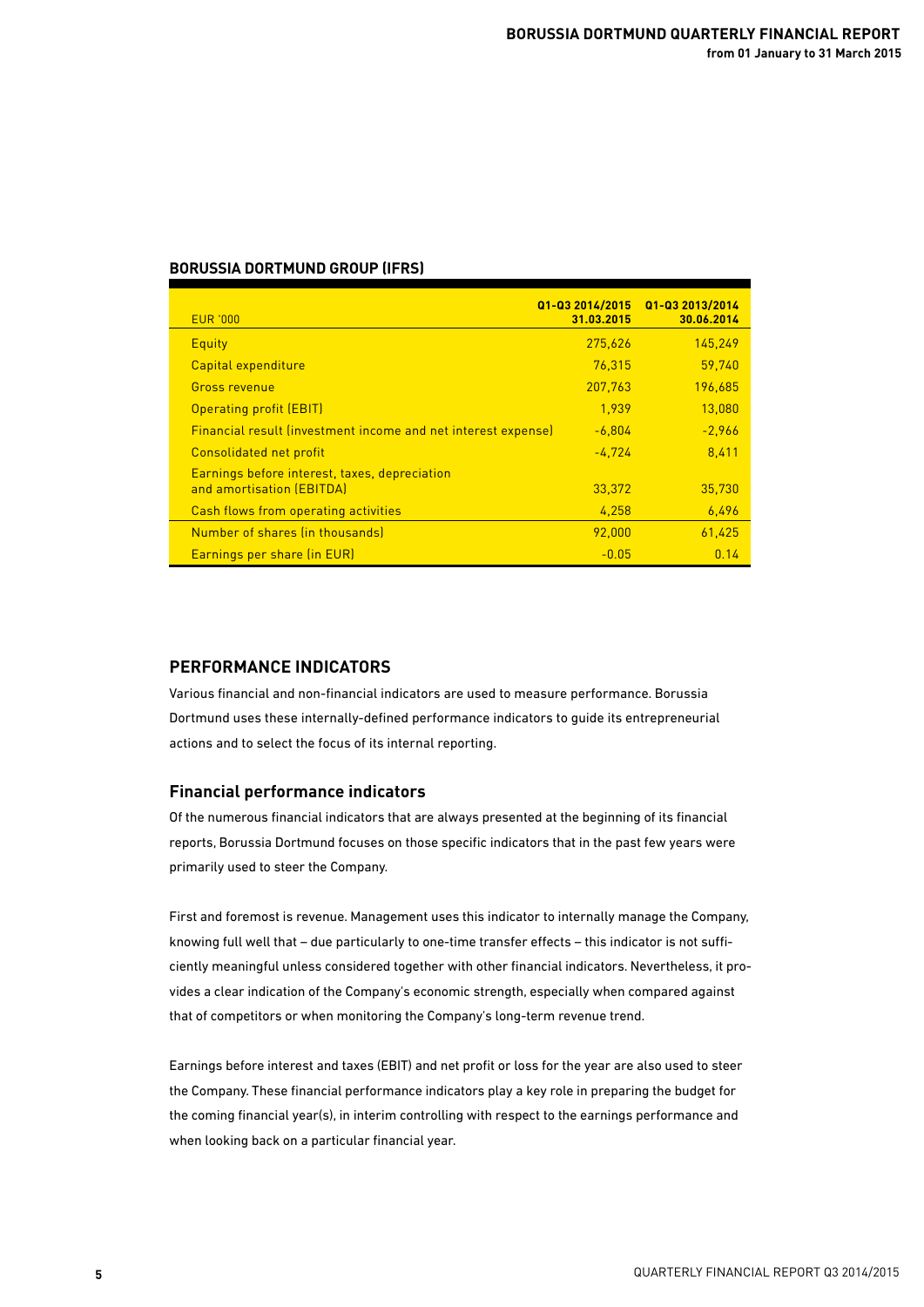### **BORUSSIA DORTMUND GROUP (IFRS)**

| <b>EUR '000</b>                                                            | Q1-Q3 2014/2015<br>31.03.2015 | Q1-Q3 2013/2014<br>30.06.2014 |
|----------------------------------------------------------------------------|-------------------------------|-------------------------------|
| Equity                                                                     | 275,626                       | 145.249                       |
| Capital expenditure                                                        | 76.315                        | 59.740                        |
| <b>Gross revenue</b>                                                       | 207,763                       | 196,685                       |
| <b>Operating profit (EBIT)</b>                                             | 1.939                         | 13,080                        |
| <b>Financial result (investment income and net interest expense)</b>       | $-6,804$                      | $-2,966$                      |
| <b>Consolidated net profit</b>                                             | $-4,724$                      | 8,411                         |
| Earnings before interest, taxes, depreciation<br>and amortisation (EBITDA) | 33,372                        | 35.730                        |
| Cash flows from operating activities                                       | 4,258                         | 6,496                         |
| Number of shares (in thousands)                                            | 92.000                        | 61,425                        |
| Earnings per share (in EUR)                                                | $-0.05$                       | 0.14                          |

### **PERFORMANCE INDICATORS**

Various financial and non-financial indicators are used to measure performance. Borussia Dortmund uses these internally-defined performance indicators to guide its entrepreneurial actions and to select the focus of its internal reporting.

### **Financial performance indicators**

Of the numerous financial indicators that are always presented at the beginning of its financial reports, Borussia Dortmund focuses on those specific indicators that in the past few years were primarily used to steer the Company.

First and foremost is revenue. Management uses this indicator to internally manage the Company, knowing full well that – due particularly to one-time transfer effects – this indicator is not sufficiently meaningful unless considered together with other financial indicators. Nevertheless, it provides a clear indication of the Company's economic strength, especially when compared against that of competitors or when monitoring the Company's long-term revenue trend.

Earnings before interest and taxes (EBIT) and net profit or loss for the year are also used to steer the Company. These financial performance indicators play a key role in preparing the budget for the coming financial year(s), in interim controlling with respect to the earnings performance and when looking back on a particular financial year.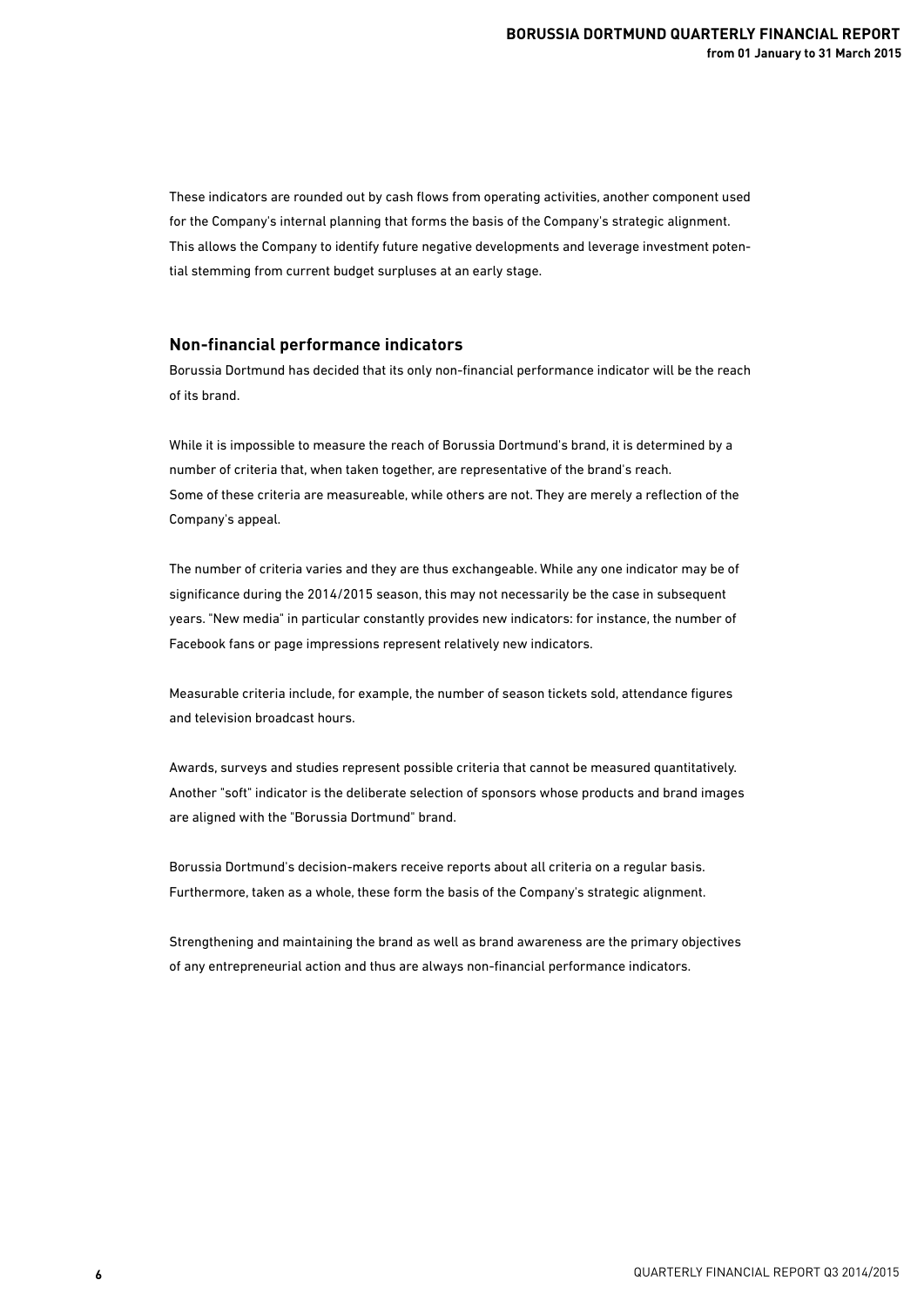These indicators are rounded out by cash flows from operating activities, another component used for the Company's internal planning that forms the basis of the Company's strategic alignment. This allows the Company to identify future negative developments and leverage investment potential stemming from current budget surpluses at an early stage.

### **Non-financial performance indicators**

Borussia Dortmund has decided that its only non-financial performance indicator will be the reach of its brand.

While it is impossible to measure the reach of Borussia Dortmund's brand, it is determined by a number of criteria that, when taken together, are representative of the brand's reach. Some of these criteria are measureable, while others are not. They are merely a reflection of the Company's appeal.

The number of criteria varies and they are thus exchangeable. While any one indicator may be of significance during the 2014/2015 season, this may not necessarily be the case in subsequent years. "New media" in particular constantly provides new indicators: for instance, the number of Facebook fans or page impressions represent relatively new indicators.

Measurable criteria include, for example, the number of season tickets sold, attendance figures and television broadcast hours.

Awards, surveys and studies represent possible criteria that cannot be measured quantitatively. Another "soft" indicator is the deliberate selection of sponsors whose products and brand images are aligned with the "Borussia Dortmund" brand.

Borussia Dortmund's decision-makers receive reports about all criteria on a regular basis. Furthermore, taken as a whole, these form the basis of the Company's strategic alignment.

Strengthening and maintaining the brand as well as brand awareness are the primary objectives of any entrepreneurial action and thus are always non-financial performance indicators.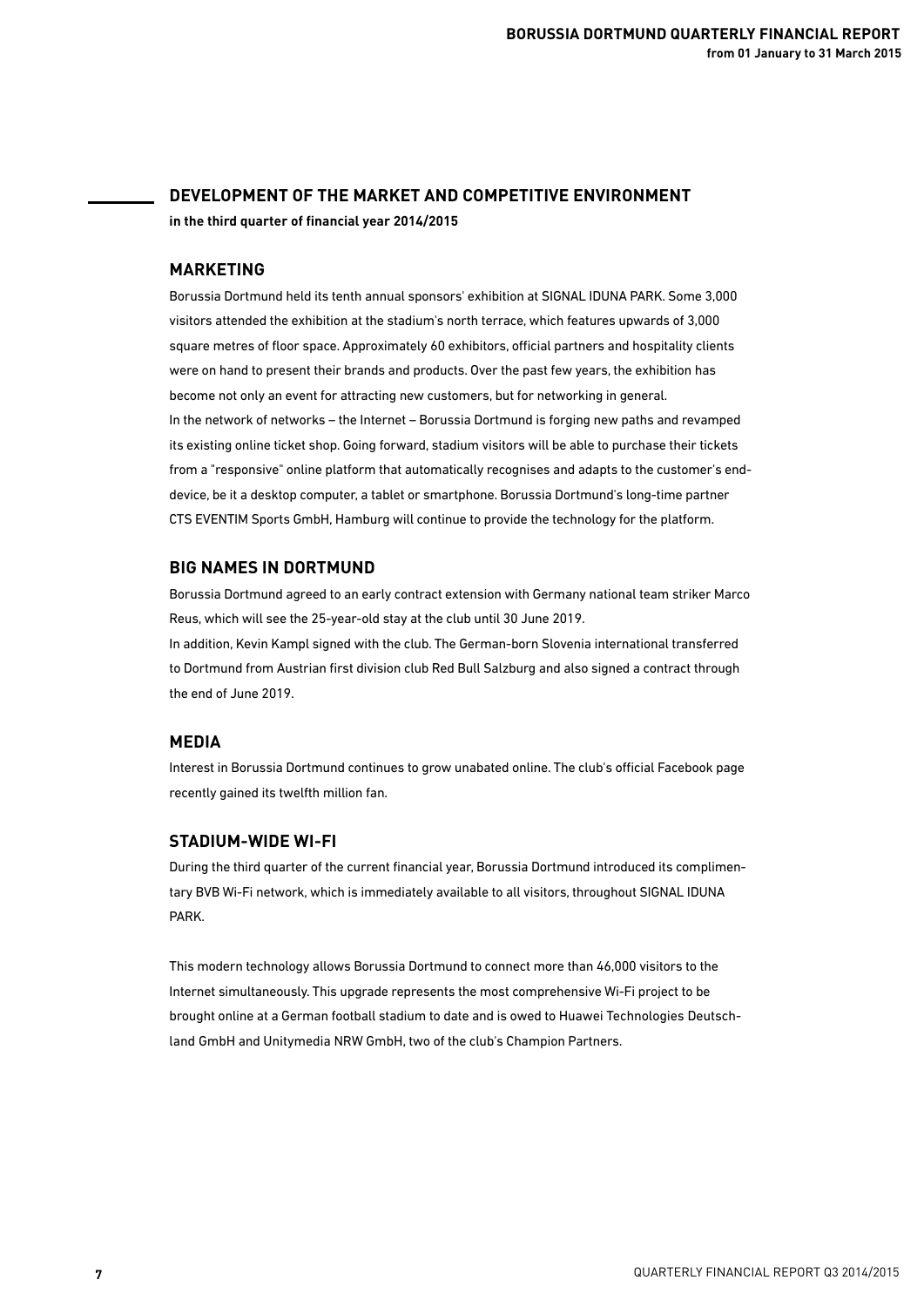## **DEVELOPMENT OF THE MARKET AND COMPETITIVE ENVIRONMENT in the third quarter of financial year 2014/2015**

#### **MARKETING**

Borussia Dortmund held its tenth annual sponsors' exhibition at SIGNAL IDUNA PARK. Some 3,000 visitors attended the exhibition at the stadium's north terrace, which features upwards of 3,000 square metres of floor space. Approximately 60 exhibitors, official partners and hospitality clients were on hand to present their brands and products. Over the past few years, the exhibition has become not only an event for attracting new customers, but for networking in general. In the network of networks – the Internet – Borussia Dortmund is forging new paths and revamped its existing online ticket shop. Going forward, stadium visitors will be able to purchase their tickets from a "responsive" online platform that automatically recognises and adapts to the customer's enddevice, be it a desktop computer, a tablet or smartphone. Borussia Dortmund's long-time partner CTS EVENTIM Sports GmbH, Hamburg will continue to provide the technology for the platform.

#### **BIG NAMES IN DORTMUND**

Borussia Dortmund agreed to an early contract extension with Germany national team striker Marco Reus, which will see the 25-year-old stay at the club until 30 June 2019.

In addition, Kevin Kampl signed with the club. The German-born Slovenia international transferred to Dortmund from Austrian first division club Red Bull Salzburg and also signed a contract through the end of June 2019.

### **MEDIA**

Interest in Borussia Dortmund continues to grow unabated online. The club's official Facebook page recently gained its twelfth million fan.

### **STADIUM-WIDE WI-FI**

During the third quarter of the current financial year, Borussia Dortmund introduced its complimentary BVB Wi-Fi network, which is immediately available to all visitors, throughout SIGNAL IDUNA PARK.

This modern technology allows Borussia Dortmund to connect more than 46,000 visitors to the Internet simultaneously. This upgrade represents the most comprehensive Wi-Fi project to be brought online at a German football stadium to date and is owed to Huawei Technologies Deutschland GmbH and Unitymedia NRW GmbH, two of the club's Champion Partners.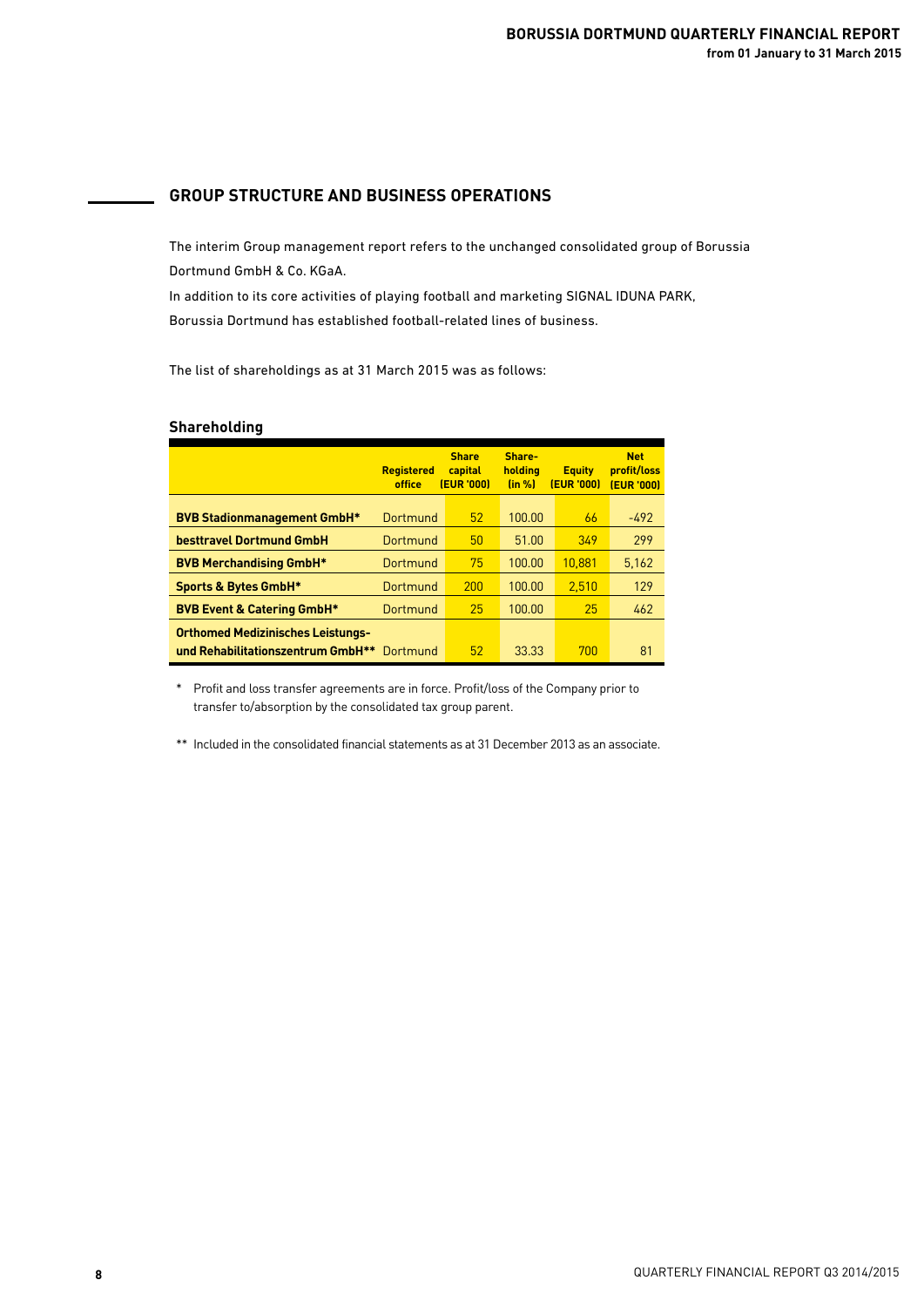## **GROUP STRUCTURE AND BUSINESS OPERATIONS**

The interim Group management report refers to the unchanged consolidated group of Borussia Dortmund GmbH & Co. KGaA.

In addition to its core activities of playing football and marketing SIGNAL IDUNA PARK, Borussia Dortmund has established football-related lines of business.

The list of shareholdings as at 31 March 2015 was as follows:

### **Shareholding**

|                                            | <b>Registered</b><br>office | <b>Share</b><br>capital<br>(EUR '000) | Share-<br>holdina<br>(in %) | <b>Equity</b><br><b>(EUR '000)</b> | <b>Net</b><br>profit/loss<br><b>(EUR '000)</b> |
|--------------------------------------------|-----------------------------|---------------------------------------|-----------------------------|------------------------------------|------------------------------------------------|
| <b>BVB Stadionmanagement GmbH*</b>         | Dortmund                    | 52                                    | 100.00                      | 66                                 | $-492$                                         |
| besttravel Dortmund GmbH                   | Dortmund                    | 50                                    | 51.00                       | 349                                | 299                                            |
| <b>BVB Merchandising GmbH*</b>             | Dortmund                    | 75                                    | 100.00                      | 10.881                             | 5,162                                          |
| <b>Sports &amp; Bytes GmbH*</b>            | Dortmund                    | 200                                   | 100.00                      | 2.510                              | 129                                            |
| <b>BVB Event &amp; Catering GmbH*</b>      | Dortmund                    | 25                                    | 100.00                      | 25                                 | 462                                            |
| <b>Orthomed Medizinisches Leistungs-</b>   |                             |                                       |                             |                                    |                                                |
| und Rehabilitationszentrum GmbH** Dortmund |                             | 52                                    | 33.33                       | 700                                | 81                                             |

٦ \* Profit and loss transfer agreements are in force. Profit/loss of the Company prior to transfer to/absorption by the consolidated tax group parent.

\*\* Included in the consolidated financial statements as at 31 December 2013 as an associate.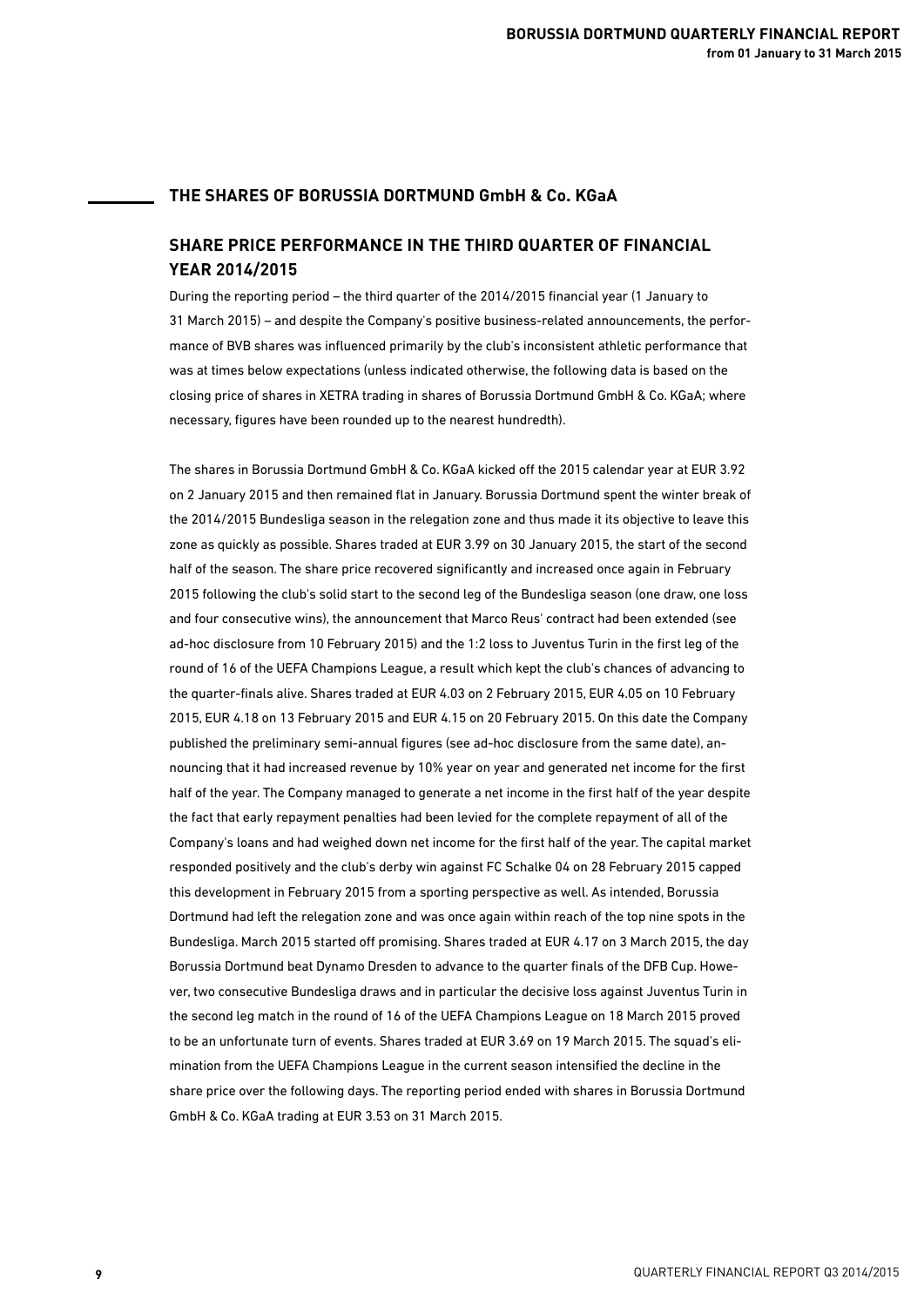### **THE SHARES OF BORUSSIA DORTMUND GmbH & Co. KGaA**

## **SHARE PRICE PERFORMANCE IN THE THIRD QUARTER OF FINANCIAL YEAR 2014/2015**

During the reporting period – the third quarter of the 2014/2015 financial year (1 January to 31 March 2015) – and despite the Company's positive business-related announcements, the performance of BVB shares was influenced primarily by the club's inconsistent athletic performance that was at times below expectations (unless indicated otherwise, the following data is based on the closing price of shares in XETRA trading in shares of Borussia Dortmund GmbH & Co. KGaA; where necessary, figures have been rounded up to the nearest hundredth).

The shares in Borussia Dortmund GmbH & Co. KGaA kicked off the 2015 calendar year at EUR 3.92 on 2 January 2015 and then remained flat in January. Borussia Dortmund spent the winter break of the 2014/2015 Bundesliga season in the relegation zone and thus made it its objective to leave this zone as quickly as possible. Shares traded at EUR 3.99 on 30 January 2015, the start of the second half of the season. The share price recovered significantly and increased once again in February 2015 following the club's solid start to the second leg of the Bundesliga season (one draw, one loss and four consecutive wins), the announcement that Marco Reus' contract had been extended (see ad-hoc disclosure from 10 February 2015) and the 1:2 loss to Juventus Turin in the first leg of the round of 16 of the UEFA Champions League, a result which kept the club's chances of advancing to the quarter-finals alive. Shares traded at EUR 4.03 on 2 February 2015, EUR 4.05 on 10 February 2015, EUR 4.18 on 13 February 2015 and EUR 4.15 on 20 February 2015. On this date the Company published the preliminary semi-annual figures (see ad-hoc disclosure from the same date), announcing that it had increased revenue by 10% year on year and generated net income for the first half of the year. The Company managed to generate a net income in the first half of the year despite the fact that early repayment penalties had been levied for the complete repayment of all of the Company's loans and had weighed down net income for the first half of the year. The capital market responded positively and the club's derby win against FC Schalke 04 on 28 February 2015 capped this development in February 2015 from a sporting perspective as well. As intended, Borussia Dortmund had left the relegation zone and was once again within reach of the top nine spots in the Bundesliga. March 2015 started off promising. Shares traded at EUR 4.17 on 3 March 2015, the day Borussia Dortmund beat Dynamo Dresden to advance to the quarter finals of the DFB Cup. However, two consecutive Bundesliga draws and in particular the decisive loss against Juventus Turin in the second leg match in the round of 16 of the UEFA Champions League on 18 March 2015 proved to be an unfortunate turn of events. Shares traded at EUR 3.69 on 19 March 2015. The squad's elimination from the UEFA Champions League in the current season intensified the decline in the share price over the following days. The reporting period ended with shares in Borussia Dortmund GmbH & Co. KGaA trading at EUR 3.53 on 31 March 2015.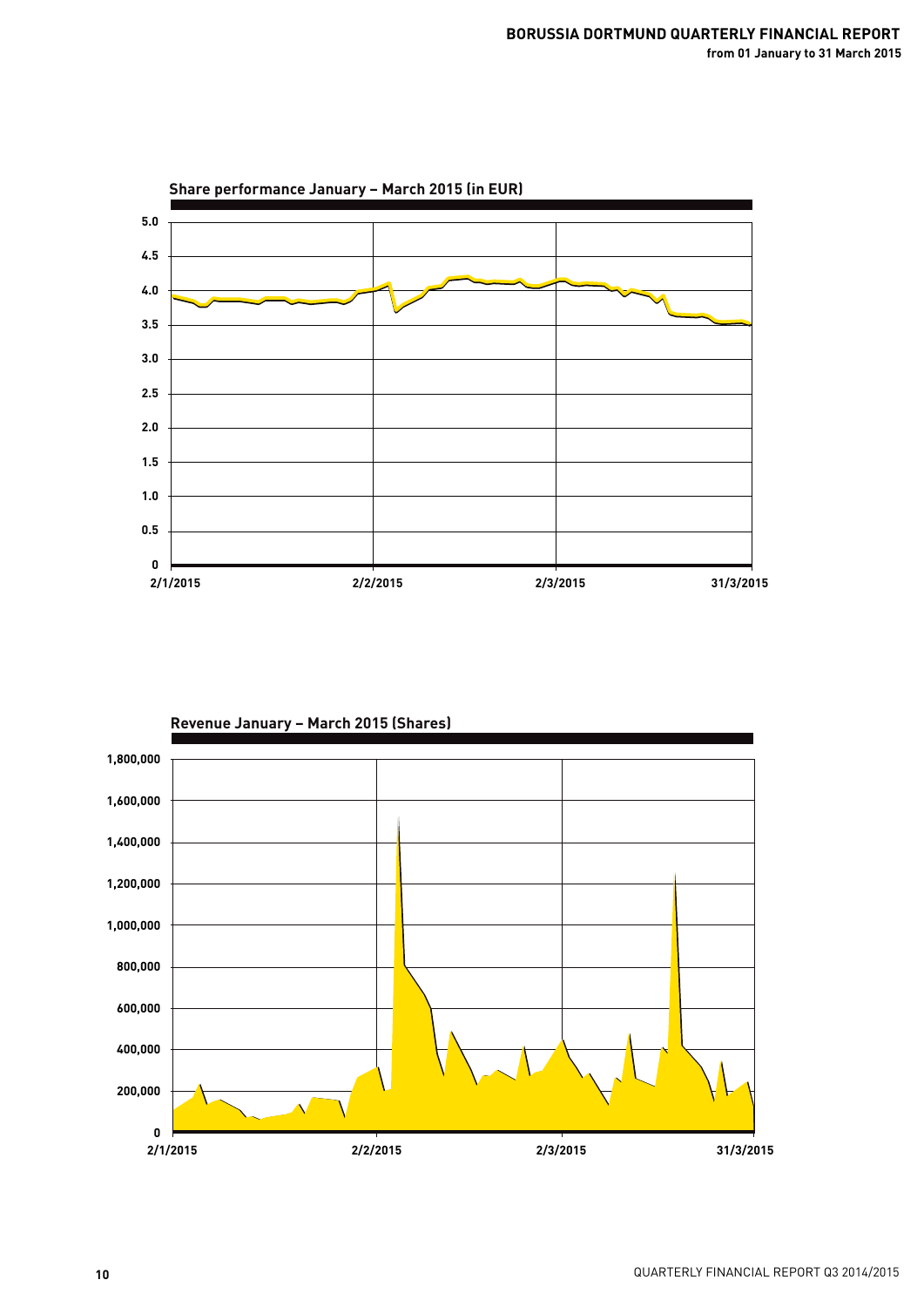

**Revenue January – March 2015 (Shares)**

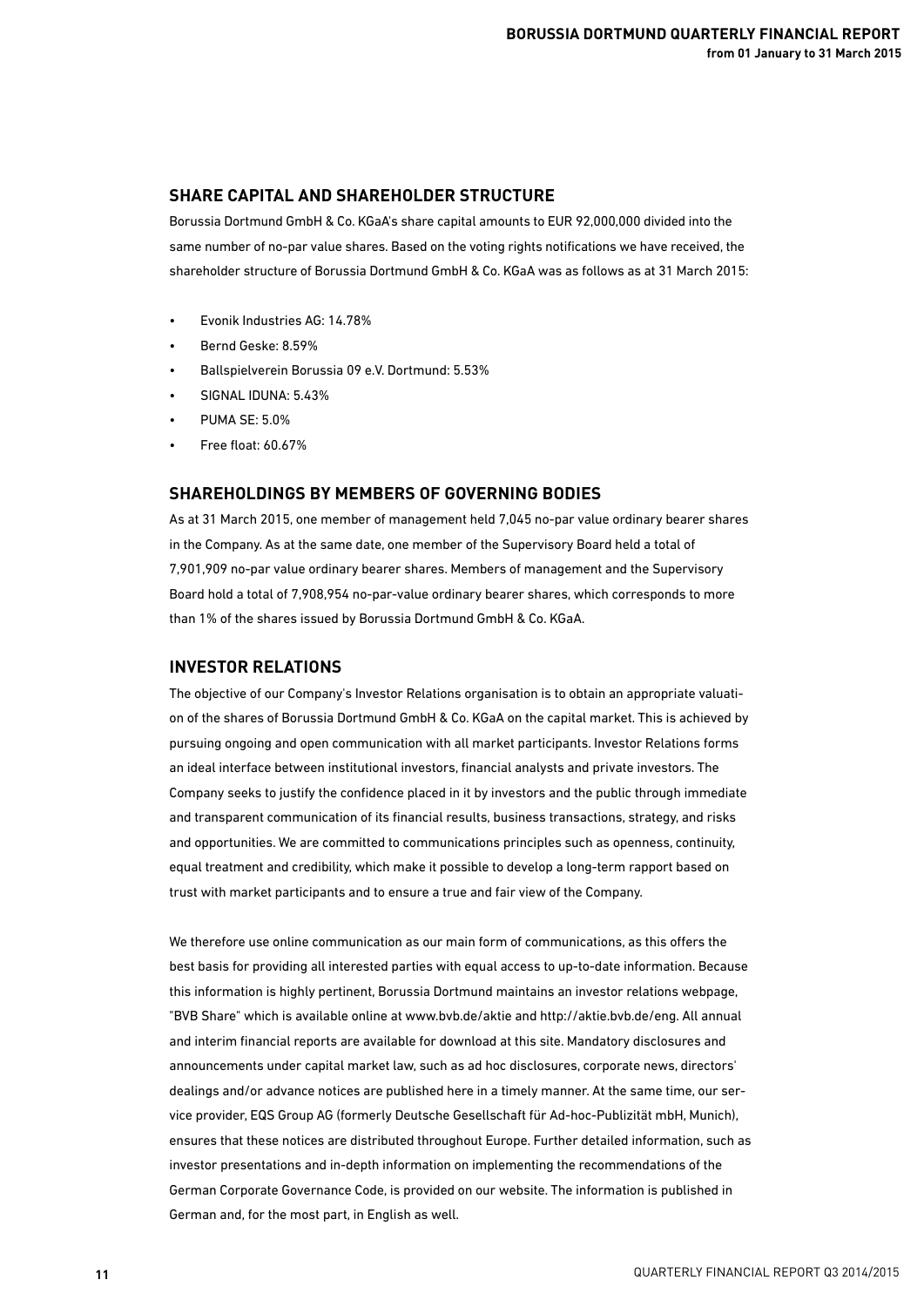### **SHARE CAPITAL AND SHAREHOLDER STRUCTURE**

Borussia Dortmund GmbH & Co. KGaA's share capital amounts to EUR 92,000,000 divided into the same number of no-par value shares. Based on the voting rights notifications we have received, the shareholder structure of Borussia Dortmund GmbH & Co. KGaA was as follows as at 31 March 2015:

- Evonik Industries AG: 14.78%
- Bernd Geske: 8.59%
- Ballspielverein Borussia 09 e.V. Dortmund: 5.53%
- SIGNAL IDUNA: 5.43%
- PUMA SE: 5.0%
- Free float: 60.67%

## **SHAREHOLDINGS BY MEMBERS OF GOVERNING BODIES**

As at 31 March 2015, one member of management held 7,045 no-par value ordinary bearer shares in the Company. As at the same date, one member of the Supervisory Board held a total of 7,901,909 no-par value ordinary bearer shares. Members of management and the Supervisory Board hold a total of 7,908,954 no-par-value ordinary bearer shares, which corresponds to more than 1% of the shares issued by Borussia Dortmund GmbH & Co. KGaA.

#### **INVESTOR RELATIONS**

The objective of our Company's Investor Relations organisation is to obtain an appropriate valuation of the shares of Borussia Dortmund GmbH & Co. KGaA on the capital market. This is achieved by pursuing ongoing and open communication with all market participants. Investor Relations forms an ideal interface between institutional investors, financial analysts and private investors. The Company seeks to justify the confidence placed in it by investors and the public through immediate and transparent communication of its financial results, business transactions, strategy, and risks and opportunities. We are committed to communications principles such as openness, continuity, equal treatment and credibility, which make it possible to develop a long-term rapport based on trust with market participants and to ensure a true and fair view of the Company.

We therefore use online communication as our main form of communications, as this offers the best basis for providing all interested parties with equal access to up-to-date information. Because this information is highly pertinent, Borussia Dortmund maintains an investor relations webpage, "BVB Share" which is available online at www.bvb.de/aktie and http://aktie.bvb.de/eng. All annual and interim financial reports are available for download at this site. Mandatory disclosures and announcements under capital market law, such as ad hoc disclosures, corporate news, directors' dealings and/or advance notices are published here in a timely manner. At the same time, our service provider, EQS Group AG (formerly Deutsche Gesellschaft für Ad-hoc-Publizität mbH, Munich), ensures that these notices are distributed throughout Europe. Further detailed information, such as investor presentations and in-depth information on implementing the recommendations of the German Corporate Governance Code, is provided on our website. The information is published in German and, for the most part, in English as well.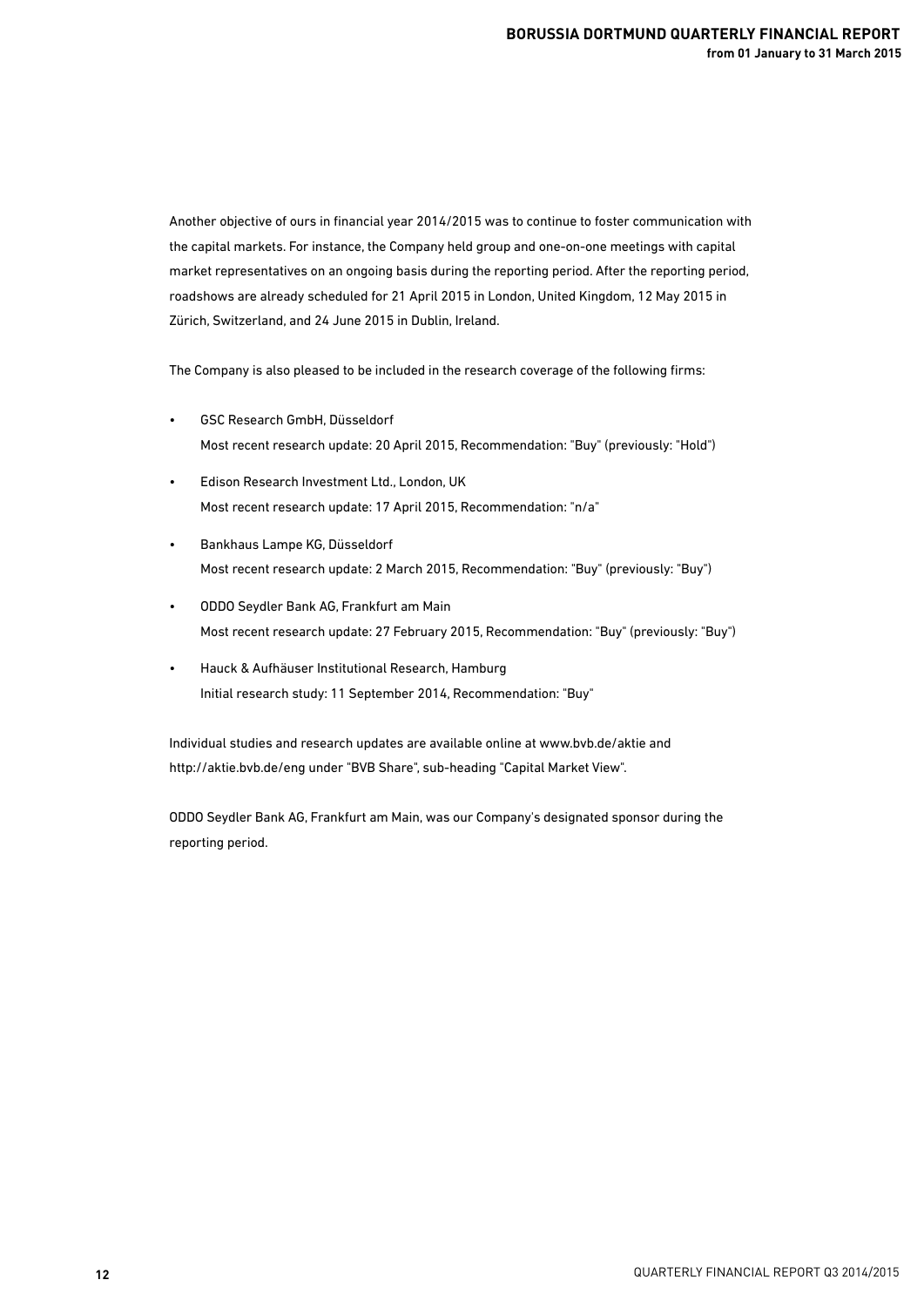Another objective of ours in financial year 2014/2015 was to continue to foster communication with the capital markets. For instance, the Company held group and one-on-one meetings with capital market representatives on an ongoing basis during the reporting period. After the reporting period, roadshows are already scheduled for 21 April 2015 in London, United Kingdom, 12 May 2015 in Zürich, Switzerland, and 24 June 2015 in Dublin, Ireland.

The Company is also pleased to be included in the research coverage of the following firms:

- GSC Research GmbH, Düsseldorf Most recent research update: 20 April 2015, Recommendation: "Buy" (previously: "Hold")
- Edison Research Investment Ltd., London, UK Most recent research update: 17 April 2015, Recommendation: "n/a"
- Bankhaus Lampe KG, Düsseldorf Most recent research update: 2 March 2015, Recommendation: "Buy" (previously: "Buy")
- ODDO Seydler Bank AG, Frankfurt am Main Most recent research update: 27 February 2015, Recommendation: "Buy" (previously: "Buy")
- Hauck & Aufhäuser Institutional Research, Hamburg Initial research study: 11 September 2014, Recommendation: "Buy"

Individual studies and research updates are available online at www.bvb.de/aktie and http://aktie.bvb.de/eng under "BVB Share", sub-heading "Capital Market View".

ODDO Seydler Bank AG, Frankfurt am Main, was our Company's designated sponsor during the reporting period.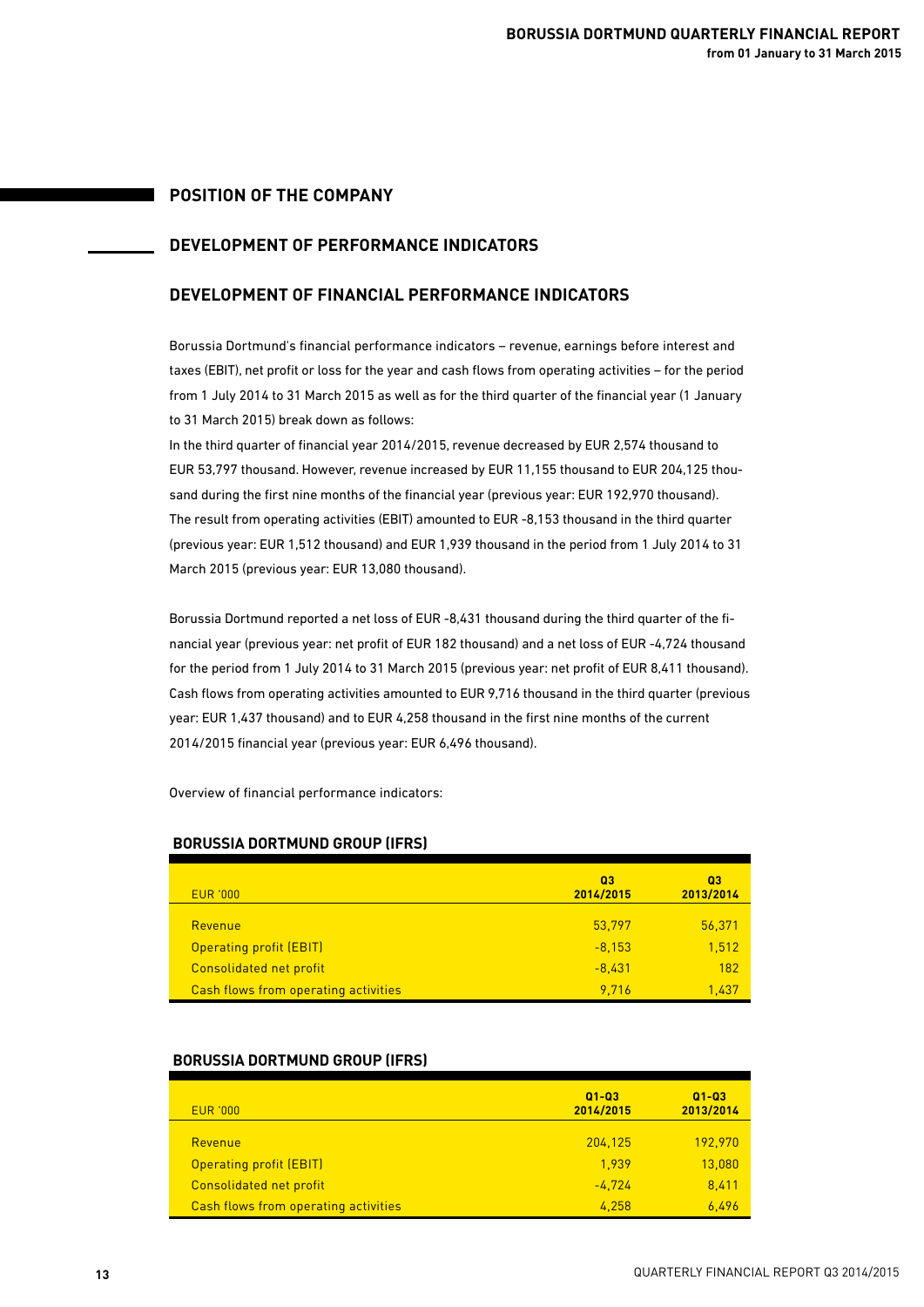## **POSITION OF THE COMPANY**

## **DEVELOPMENT OF PERFORMANCE INDICATORS**

## **DEVELOPMENT OF FINANCIAL PERFORMANCE INDICATORS**

Borussia Dortmund's financial performance indicators – revenue, earnings before interest and taxes (EBIT), net profit or loss for the year and cash flows from operating activities – for the period from 1 July 2014 to 31 March 2015 as well as for the third quarter of the financial year (1 January to 31 March 2015) break down as follows:

In the third quarter of financial year 2014/2015, revenue decreased by EUR 2,574 thousand to EUR 53,797 thousand. However, revenue increased by EUR 11,155 thousand to EUR 204,125 thousand during the first nine months of the financial year (previous year: EUR 192,970 thousand). The result from operating activities (EBIT) amounted to EUR -8,153 thousand in the third quarter (previous year: EUR 1,512 thousand) and EUR 1,939 thousand in the period from 1 July 2014 to 31 March 2015 (previous year: EUR 13,080 thousand).

Borussia Dortmund reported a net loss of EUR -8,431 thousand during the third quarter of the financial year (previous year: net profit of EUR 182 thousand) and a net loss of EUR -4,724 thousand for the period from 1 July 2014 to 31 March 2015 (previous year: net profit of EUR 8,411 thousand). Cash flows from operating activities amounted to EUR 9,716 thousand in the third quarter (previous year: EUR 1,437 thousand) and to EUR 4,258 thousand in the first nine months of the current 2014/2015 financial year (previous year: EUR 6,496 thousand).

Overview of financial performance indicators:

| <b>EUR '000</b>                      | 03<br>2014/2015 | 03<br>2013/2014 |
|--------------------------------------|-----------------|-----------------|
| Revenue                              | 53,797          | 56,371          |
| <b>Operating profit (EBIT)</b>       | $-8,153$        | 1,512           |
| Consolidated net profit              | $-8,431$        | 182             |
| Cash flows from operating activities | 9.716           | 1.437           |

## **BORUSSIA DORTMUND GROUP (IFRS)**

### **BORUSSIA DORTMUND GROUP (IFRS)**

| <b>EUR '000</b>                      | $Q1 - Q3$<br>2014/2015 | $Q1 - Q3$<br>2013/2014 |
|--------------------------------------|------------------------|------------------------|
| Revenue                              | 204.125                | 192.970                |
| Operating profit (EBIT)              | 1.939                  | 13,080                 |
| Consolidated net profit              | $-4.724$               | 8.411                  |
| Cash flows from operating activities | 4.258                  | 6.496                  |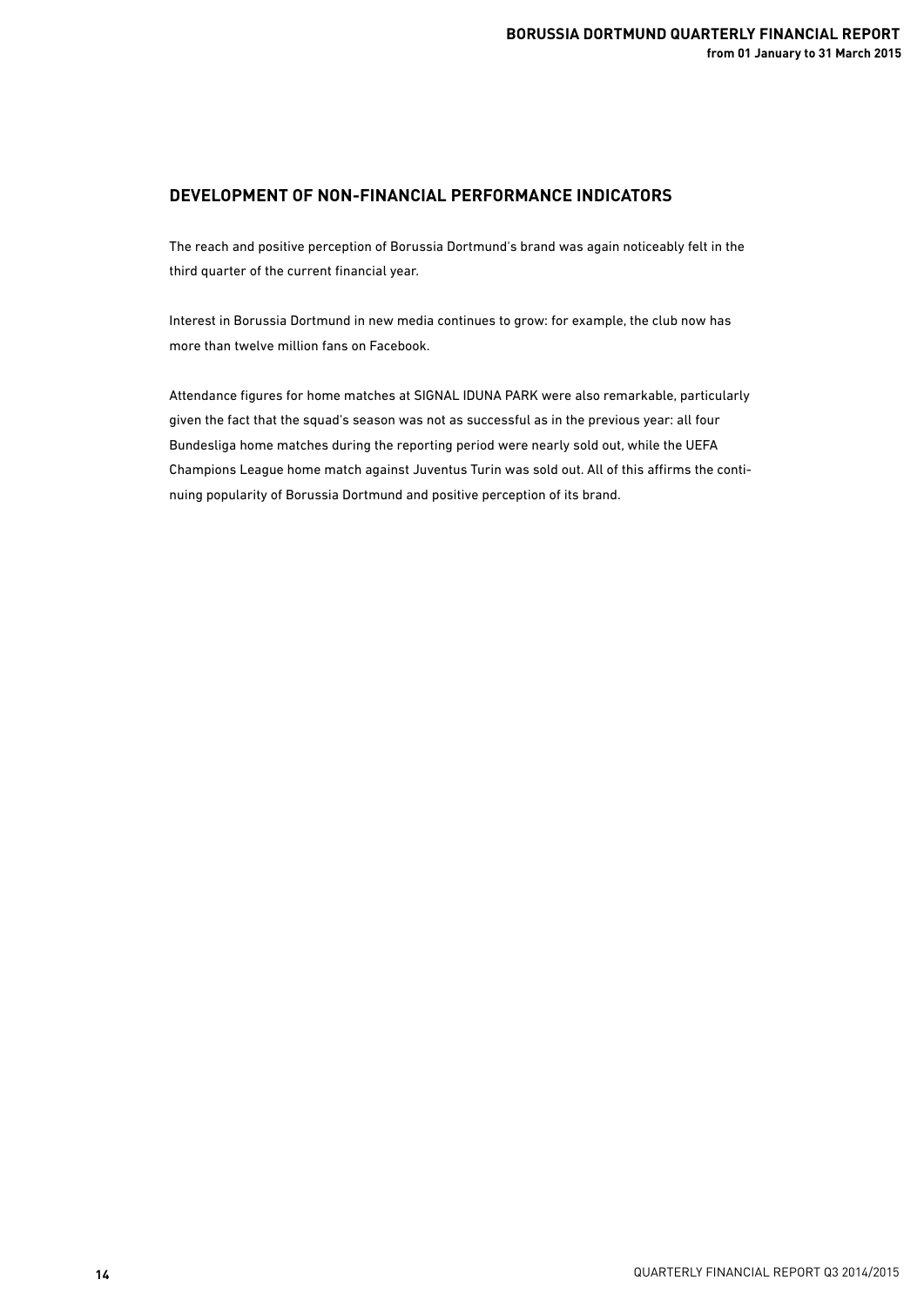## **DEVELOPMENT OF NON-FINANCIAL PERFORMANCE INDICATORS**

The reach and positive perception of Borussia Dortmund's brand was again noticeably felt in the third quarter of the current financial year.

Interest in Borussia Dortmund in new media continues to grow: for example, the club now has more than twelve million fans on Facebook.

Attendance figures for home matches at SIGNAL IDUNA PARK were also remarkable, particularly given the fact that the squad's season was not as successful as in the previous year: all four Bundesliga home matches during the reporting period were nearly sold out, while the UEFA Champions League home match against Juventus Turin was sold out. All of this affirms the continuing popularity of Borussia Dortmund and positive perception of its brand.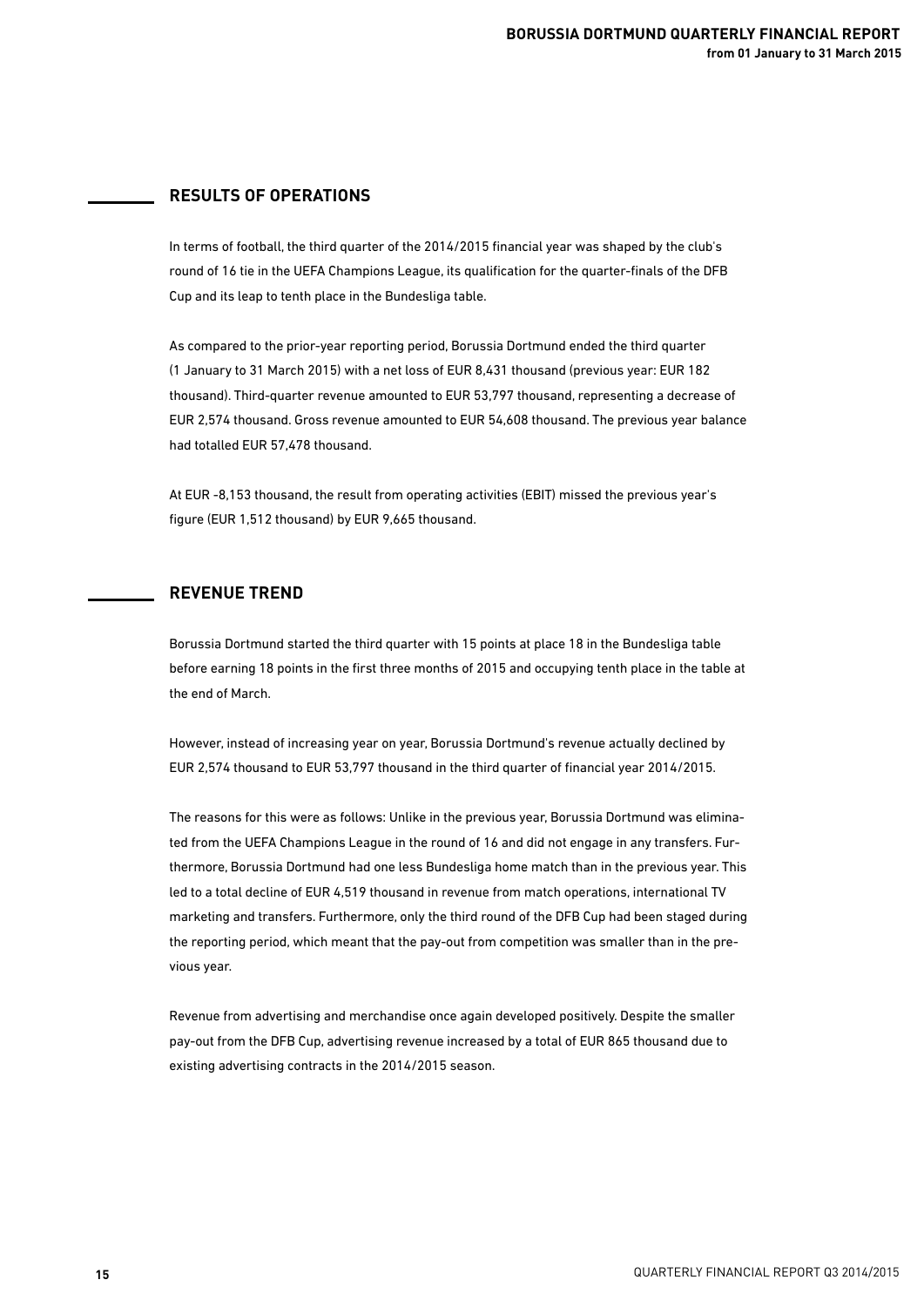## **RESULTS OF OPERATIONS**

In terms of football, the third quarter of the 2014/2015 financial year was shaped by the club's round of 16 tie in the UEFA Champions League, its qualification for the quarter-finals of the DFB Cup and its leap to tenth place in the Bundesliga table.

As compared to the prior-year reporting period, Borussia Dortmund ended the third quarter (1 January to 31 March 2015) with a net loss of EUR 8,431 thousand (previous year: EUR 182 thousand). Third-quarter revenue amounted to EUR 53,797 thousand, representing a decrease of EUR 2,574 thousand. Gross revenue amounted to EUR 54,608 thousand. The previous year balance had totalled EUR 57,478 thousand.

At EUR -8,153 thousand, the result from operating activities (EBIT) missed the previous year's figure (EUR 1,512 thousand) by EUR 9,665 thousand.

### **REVENUE TREND**

Borussia Dortmund started the third quarter with 15 points at place 18 in the Bundesliga table before earning 18 points in the first three months of 2015 and occupying tenth place in the table at the end of March.

However, instead of increasing year on year, Borussia Dortmund's revenue actually declined by EUR 2,574 thousand to EUR 53,797 thousand in the third quarter of financial year 2014/2015.

The reasons for this were as follows: Unlike in the previous year, Borussia Dortmund was eliminated from the UEFA Champions League in the round of 16 and did not engage in any transfers. Furthermore, Borussia Dortmund had one less Bundesliga home match than in the previous year. This led to a total decline of EUR 4,519 thousand in revenue from match operations, international TV marketing and transfers. Furthermore, only the third round of the DFB Cup had been staged during the reporting period, which meant that the pay-out from competition was smaller than in the previous year.

Revenue from advertising and merchandise once again developed positively. Despite the smaller pay-out from the DFB Cup, advertising revenue increased by a total of EUR 865 thousand due to existing advertising contracts in the 2014/2015 season.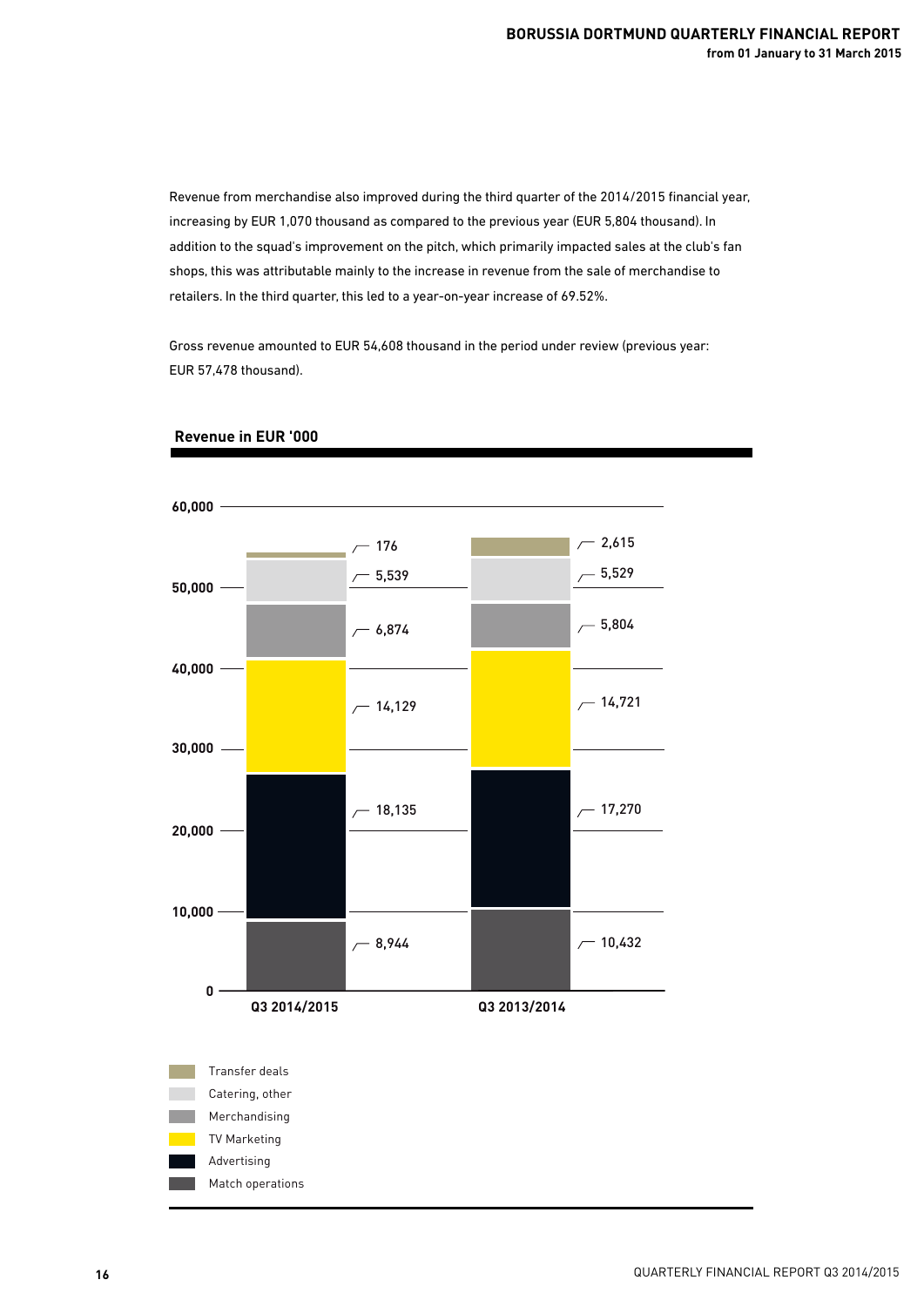Revenue from merchandise also improved during the third quarter of the 2014/2015 financial year, increasing by EUR 1,070 thousand as compared to the previous year (EUR 5,804 thousand). In addition to the squad's improvement on the pitch, which primarily impacted sales at the club's fan shops, this was attributable mainly to the increase in revenue from the sale of merchandise to retailers. In the third quarter, this led to a year-on-year increase of 69.52%.

Gross revenue amounted to EUR 54,608 thousand in the period under review (previous year: EUR 57,478 thousand).



### **Revenue in EUR '000**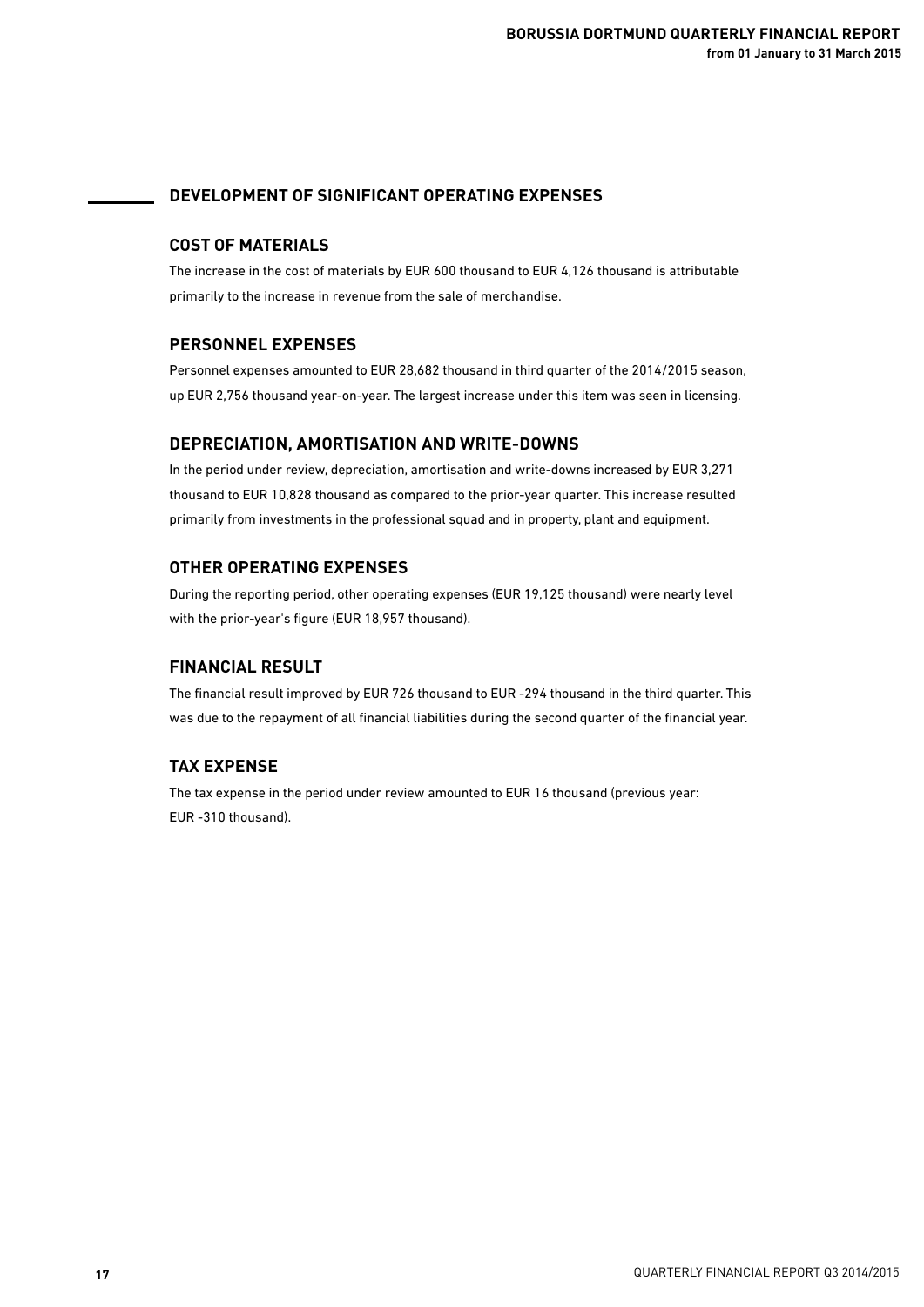## **DEVELOPMENT OF SIGNIFICANT OPERATING EXPENSES**

## **COST OF MATERIALS**

The increase in the cost of materials by EUR 600 thousand to EUR 4,126 thousand is attributable primarily to the increase in revenue from the sale of merchandise.

## **PERSONNEL EXPENSES**

Personnel expenses amounted to EUR 28,682 thousand in third quarter of the 2014/2015 season, up EUR 2,756 thousand year-on-year. The largest increase under this item was seen in licensing.

## **DEPRECIATION, AMORTISATION AND WRITE-DOWNS**

In the period under review, depreciation, amortisation and write-downs increased by EUR 3,271 thousand to EUR 10,828 thousand as compared to the prior-year quarter. This increase resulted primarily from investments in the professional squad and in property, plant and equipment.

## **OTHER OPERATING EXPENSES**

During the reporting period, other operating expenses (EUR 19,125 thousand) were nearly level with the prior-year's figure (EUR 18,957 thousand).

## **FINANCIAL RESULT**

The financial result improved by EUR 726 thousand to EUR -294 thousand in the third quarter. This was due to the repayment of all financial liabilities during the second quarter of the financial year.

## **TAX EXPENSE**

The tax expense in the period under review amounted to EUR 16 thousand (previous year: EUR -310 thousand).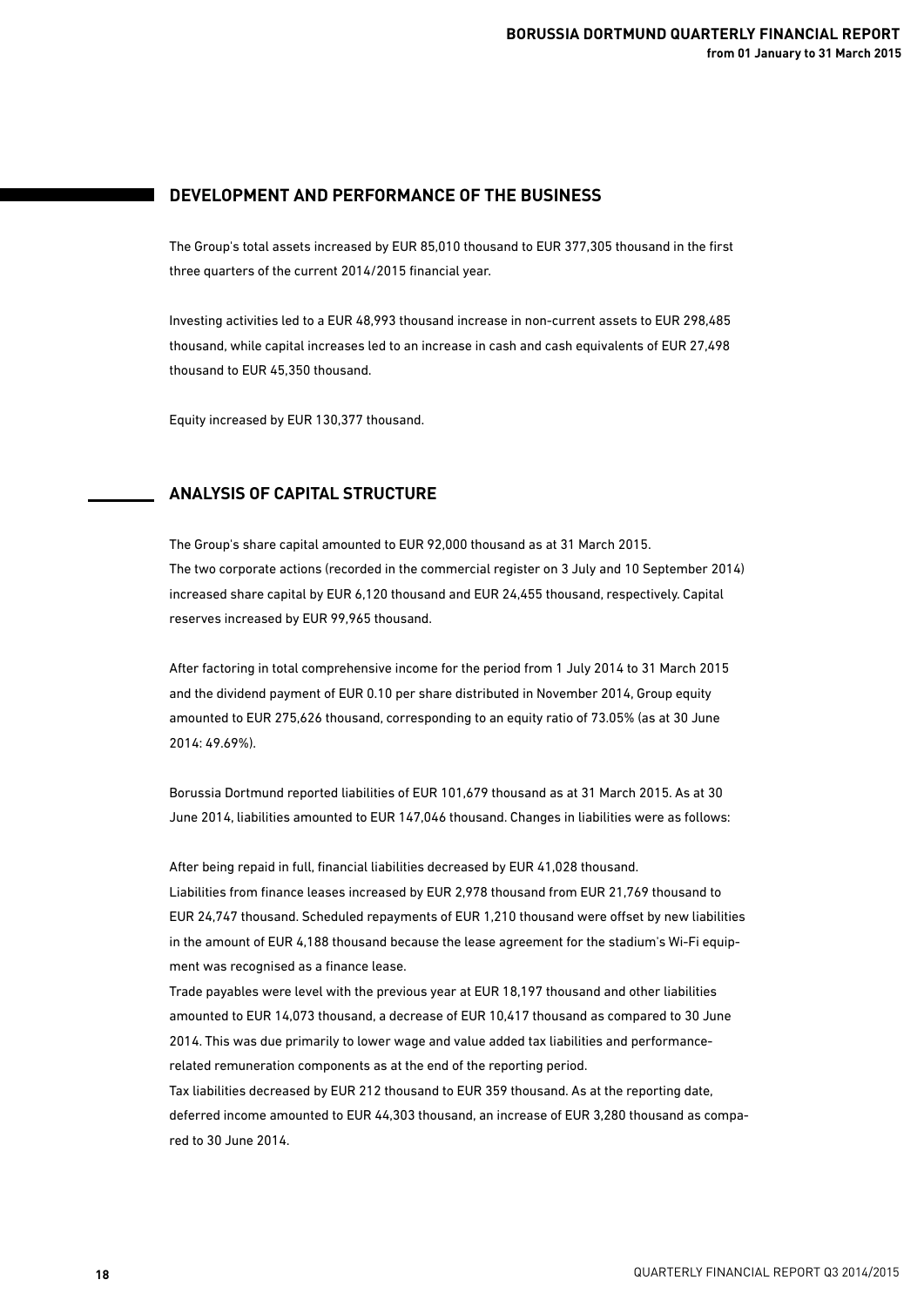## **DEVELOPMENT AND PERFORMANCE OF THE BUSINESS**

The Group's total assets increased by EUR 85,010 thousand to EUR 377,305 thousand in the first three quarters of the current 2014/2015 financial year.

Investing activities led to a EUR 48,993 thousand increase in non-current assets to EUR 298,485 thousand, while capital increases led to an increase in cash and cash equivalents of EUR 27,498 thousand to EUR 45,350 thousand.

Equity increased by EUR 130,377 thousand.

## **ANALYSIS OF CAPITAL STRUCTURE**

The Group's share capital amounted to EUR 92,000 thousand as at 31 March 2015. The two corporate actions (recorded in the commercial register on 3 July and 10 September 2014) increased share capital by EUR 6,120 thousand and EUR 24,455 thousand, respectively. Capital reserves increased by EUR 99,965 thousand.

After factoring in total comprehensive income for the period from 1 July 2014 to 31 March 2015 and the dividend payment of EUR 0.10 per share distributed in November 2014, Group equity amounted to EUR 275,626 thousand, corresponding to an equity ratio of 73.05% (as at 30 June 2014: 49.69%).

Borussia Dortmund reported liabilities of EUR 101,679 thousand as at 31 March 2015. As at 30 June 2014, liabilities amounted to EUR 147,046 thousand. Changes in liabilities were as follows:

After being repaid in full, financial liabilities decreased by EUR 41,028 thousand. Liabilities from finance leases increased by EUR 2,978 thousand from EUR 21,769 thousand to EUR 24,747 thousand. Scheduled repayments of EUR 1,210 thousand were offset by new liabilities in the amount of EUR 4,188 thousand because the lease agreement for the stadium's Wi-Fi equipment was recognised as a finance lease.

Trade payables were level with the previous year at EUR 18,197 thousand and other liabilities amounted to EUR 14,073 thousand, a decrease of EUR 10,417 thousand as compared to 30 June 2014. This was due primarily to lower wage and value added tax liabilities and performance related remuneration components as at the end of the reporting period. Tax liabilities decreased by EUR 212 thousand to EUR 359 thousand. As at the reporting date, deferred income amounted to EUR 44,303 thousand, an increase of EUR 3,280 thousand as compa-

red to 30 June 2014.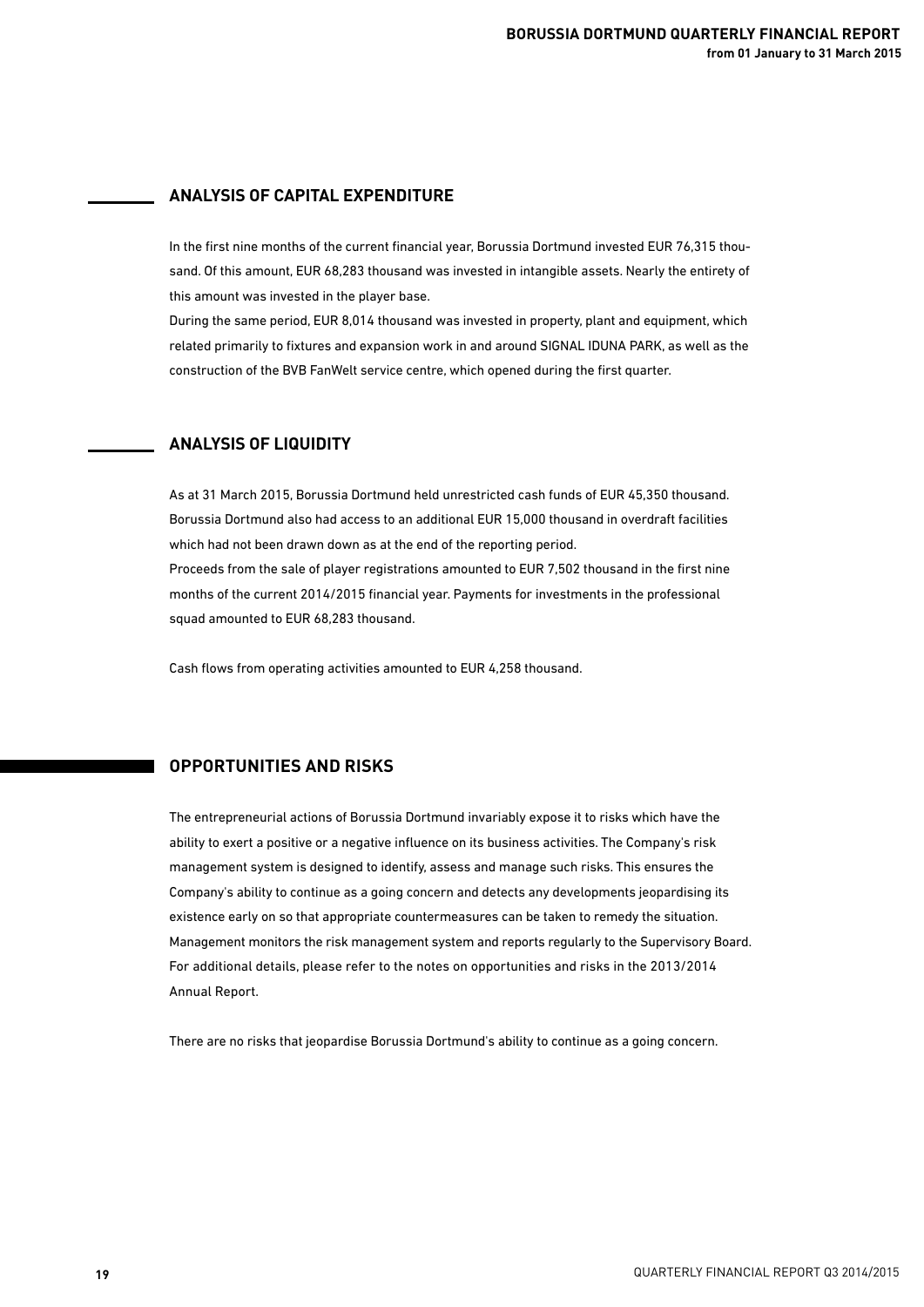## **ANALYSIS OF CAPITAL EXPENDITURE**

In the first nine months of the current financial year, Borussia Dortmund invested EUR 76,315 thousand. Of this amount, EUR 68,283 thousand was invested in intangible assets. Nearly the entirety of this amount was invested in the player base.

During the same period, EUR 8,014 thousand was invested in property, plant and equipment, which related primarily to fixtures and expansion work in and around SIGNAL IDUNA PARK, as well as the construction of the BVB FanWelt service centre, which opened during the first quarter.

## **ANALYSIS OF LIQUIDITY**

As at 31 March 2015, Borussia Dortmund held unrestricted cash funds of EUR 45,350 thousand. Borussia Dortmund also had access to an additional EUR 15,000 thousand in overdraft facilities which had not been drawn down as at the end of the reporting period. Proceeds from the sale of player registrations amounted to EUR 7,502 thousand in the first nine months of the current 2014/2015 financial year. Payments for investments in the professional squad amounted to EUR 68,283 thousand.

Cash flows from operating activities amounted to EUR 4,258 thousand.

## **OPPORTUNITIES AND RISKS**

The entrepreneurial actions of Borussia Dortmund invariably expose it to risks which have the ability to exert a positive or a negative influence on its business activities. The Company's risk management system is designed to identify, assess and manage such risks. This ensures the Company's ability to continue as a going concern and detects any developments jeopardising its existence early on so that appropriate countermeasures can be taken to remedy the situation. Management monitors the risk management system and reports regularly to the Supervisory Board. For additional details, please refer to the notes on opportunities and risks in the 2013/2014 Annual Report.

There are no risks that jeopardise Borussia Dortmund's ability to continue as a going concern.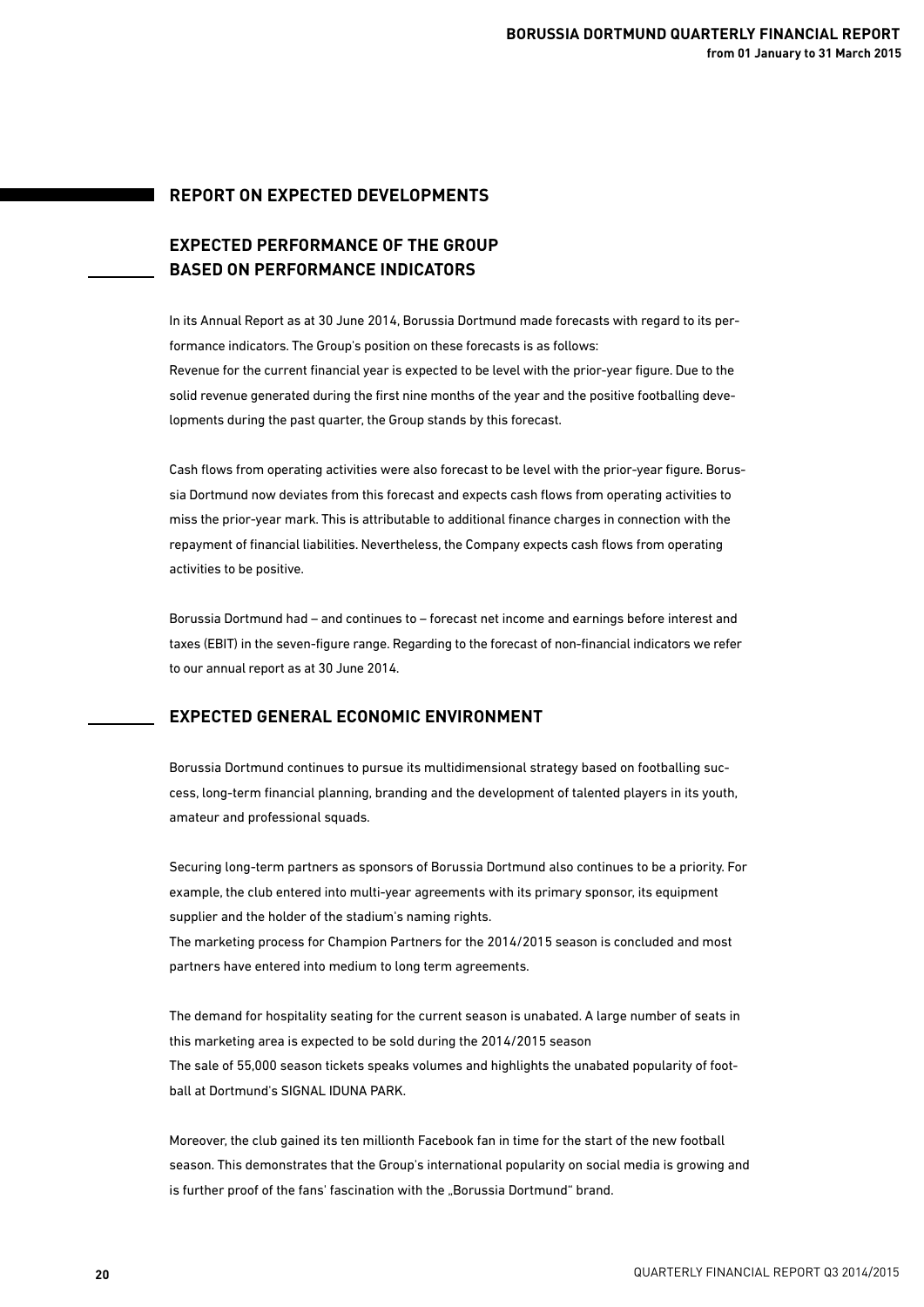### **REPORT ON EXPECTED DEVELOPMENTS**

## **EXPECTED PERFORMANCE OF THE GROUP BASED ON PERFORMANCE INDICATORS**

In its Annual Report as at 30 June 2014, Borussia Dortmund made forecasts with regard to its performance indicators. The Group's position on these forecasts is as follows: Revenue for the current financial year is expected to be level with the prior-year figure. Due to the solid revenue generated during the first nine months of the year and the positive footballing developments during the past quarter, the Group stands by this forecast.

Cash flows from operating activities were also forecast to be level with the prior-year figure. Borussia Dortmund now deviates from this forecast and expects cash flows from operating activities to miss the prior-year mark. This is attributable to additional finance charges in connection with the repayment of financial liabilities. Nevertheless, the Company expects cash flows from operating activities to be positive.

Borussia Dortmund had – and continues to – forecast net income and earnings before interest and taxes (EBIT) in the seven-figure range. Regarding to the forecast of non-financial indicators we refer to our annual report as at 30 June 2014.

## **EXPECTED GENERAL ECONOMIC ENVIRONMENT**

Borussia Dortmund continues to pursue its multidimensional strategy based on footballing success, long-term financial planning, branding and the development of talented players in its youth, amateur and professional squads.

Securing long-term partners as sponsors of Borussia Dortmund also continues to be a priority. For example, the club entered into multi-year agreements with its primary sponsor, its equipment supplier and the holder of the stadium's naming rights.

The marketing process for Champion Partners for the 2014/2015 season is concluded and most partners have entered into medium to long term agreements.

The demand for hospitality seating for the current season is unabated. A large number of seats in this marketing area is expected to be sold during the 2014/2015 season The sale of 55,000 season tickets speaks volumes and highlights the unabated popularity of football at Dortmund's SIGNAL IDUNA PARK.

Moreover, the club gained its ten millionth Facebook fan in time for the start of the new football season. This demonstrates that the Group's international popularity on social media is growing and is further proof of the fans' fascination with the "Borussia Dortmund" brand.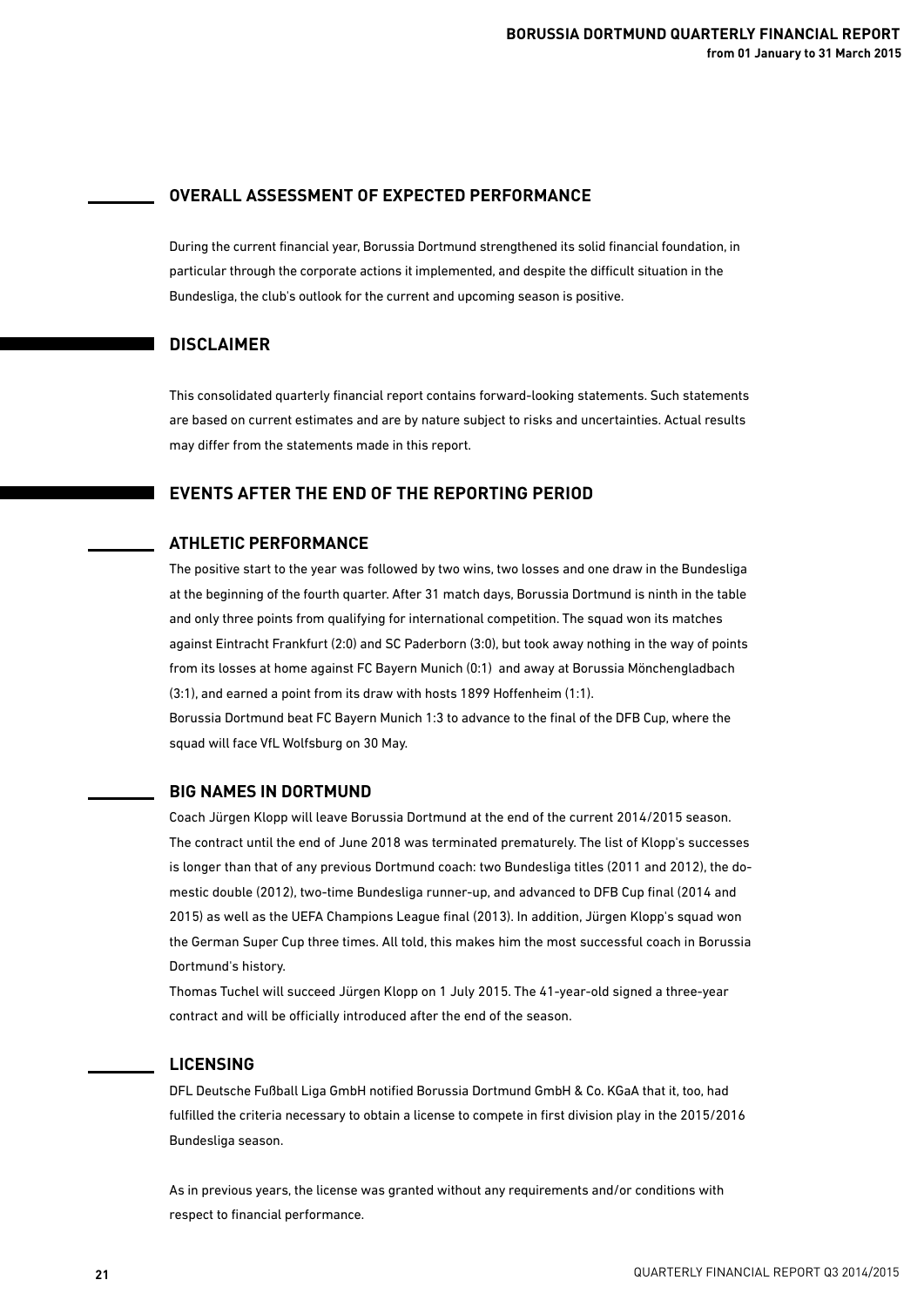### **OVERALL ASSESSMENT OF EXPECTED PERFORMANCE**

During the current financial year, Borussia Dortmund strengthened its solid financial foundation, in particular through the corporate actions it implemented, and despite the difficult situation in the Bundesliga, the club's outlook for the current and upcoming season is positive.

## **DISCLAIMER**

This consolidated quarterly financial report contains forward-looking statements. Such statements are based on current estimates and are by nature subject to risks and uncertainties. Actual results may differ from the statements made in this report.

### **EVENTS AFTER THE END OF THE REPORTING PERIOD**

## **ATHLETIC PERFORMANCE**

The positive start to the year was followed by two wins, two losses and one draw in the Bundesliga at the beginning of the fourth quarter. After 31 match days, Borussia Dortmund is ninth in the table and only three points from qualifying for international competition. The squad won its matches against Eintracht Frankfurt (2:0) and SC Paderborn (3:0), but took away nothing in the way of points from its losses at home against FC Bayern Munich (0:1) and away at Borussia Mönchengladbach (3:1), and earned a point from its draw with hosts 1899 Hoffenheim (1:1).

Borussia Dortmund beat FC Bayern Munich 1:3 to advance to the final of the DFB Cup, where the squad will face VfL Wolfsburg on 30 May.

### **BIG NAMES IN DORTMUND**

Coach Jürgen Klopp will leave Borussia Dortmund at the end of the current 2014/2015 season. The contract until the end of June 2018 was terminated prematurely. The list of Klopp's successes is longer than that of any previous Dortmund coach: two Bundesliga titles (2011 and 2012), the domestic double (2012), two-time Bundesliga runner-up, and advanced to DFB Cup final (2014 and 2015) as well as the UEFA Champions League final (2013). In addition, Jürgen Klopp's squad won the German Super Cup three times. All told, this makes him the most successful coach in Borussia Dortmund's history.

Thomas Tuchel will succeed Jürgen Klopp on 1 July 2015. The 41-year-old signed a three-year contract and will be officially introduced after the end of the season.

### **LICENSING**

DFL Deutsche Fußball Liga GmbH notified Borussia Dortmund GmbH & Co. KGaA that it, too, had fulfilled the criteria necessary to obtain a license to compete in first division play in the 2015/2016 Bundesliga season.

As in previous years, the license was granted without any requirements and/or conditions with respect to financial performance.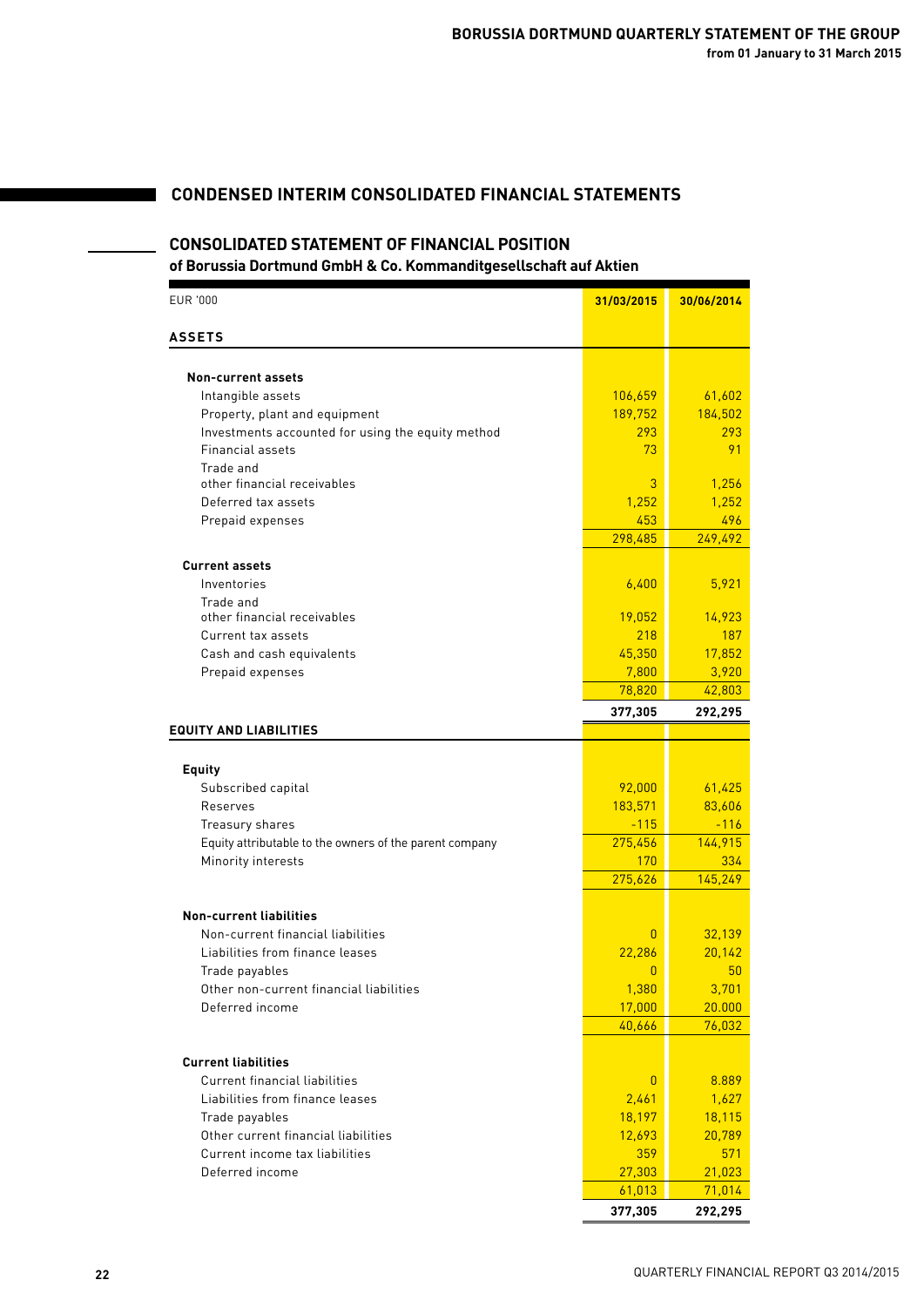## **CONDENSED INTERIM CONSOLIDATED FINANCIAL STATEMENTS**

## **CONSOLIDATED STATEMENT OF FINANCIAL POSITION**

| <b>EUR '000</b>                                         | 31/03/2015     | 30/06/2014     |
|---------------------------------------------------------|----------------|----------------|
| <b>ASSETS</b>                                           |                |                |
|                                                         |                |                |
| Non-current assets                                      |                |                |
| Intangible assets                                       | 106,659        | 61,602         |
| Property, plant and equipment                           | 189,752        | 184,502        |
| Investments accounted for using the equity method       | 293            | 293            |
| <b>Financial assets</b>                                 | 73             | 91             |
| Trade and<br>other financial receivables                | 3              |                |
| Deferred tax assets                                     | 1,252          | 1,256<br>1,252 |
|                                                         | 453            | 496            |
| Prepaid expenses                                        | 298,485        | 249,492        |
|                                                         |                |                |
| <b>Current assets</b>                                   |                |                |
| Inventories                                             | 6,400          | 5,921          |
| Trade and                                               |                |                |
| other financial receivables                             | 19,052         | 14,923         |
| Current tax assets                                      | 218            | 187            |
| Cash and cash equivalents                               | 45,350         | 17,852         |
| Prepaid expenses                                        | 7,800          | 3,920          |
|                                                         | 78,820         | 42,803         |
|                                                         | 377,305        | 292,295        |
| <b>EQUITY AND LIABILITIES</b>                           |                |                |
|                                                         |                |                |
| <b>Equity</b>                                           |                |                |
| Subscribed capital                                      | 92,000         | 61,425         |
| Reserves                                                | 183,571        | 83,606         |
| Treasury shares                                         | $-115$         | $-116$         |
| Equity attributable to the owners of the parent company | 275,456        | 144,915        |
| Minority interests                                      | 170            | 334            |
|                                                         | 275,626        | 145,249        |
| <b>Non-current liabilities</b>                          |                |                |
| Non-current financial liabilities                       | $\overline{0}$ | 32,139         |
| Liabilities from finance leases                         | 22,286         | 20,142         |
| Trade payables                                          | $\overline{0}$ | 50             |
| Other non-current financial liabilities                 | 1,380          | 3,701          |
| Deferred income                                         | 17,000         | 20.000         |
|                                                         | 40,666         | 76,032         |
|                                                         |                |                |
| <b>Current liabilities</b>                              |                |                |
| <b>Current financial liabilities</b>                    | $\overline{0}$ | 8.889          |
| Liabilities from finance leases                         | 2,461          | 1,627          |
| Trade payables                                          | 18,197         | 18,115         |
| Other current financial liabilities                     | 12,693         | 20,789         |
| Current income tax liabilities                          | 359            | 571            |
| Deferred income                                         | 27,303         | 21,023         |
|                                                         | 61,013         | 71,014         |
|                                                         | 377,305        | 292,295        |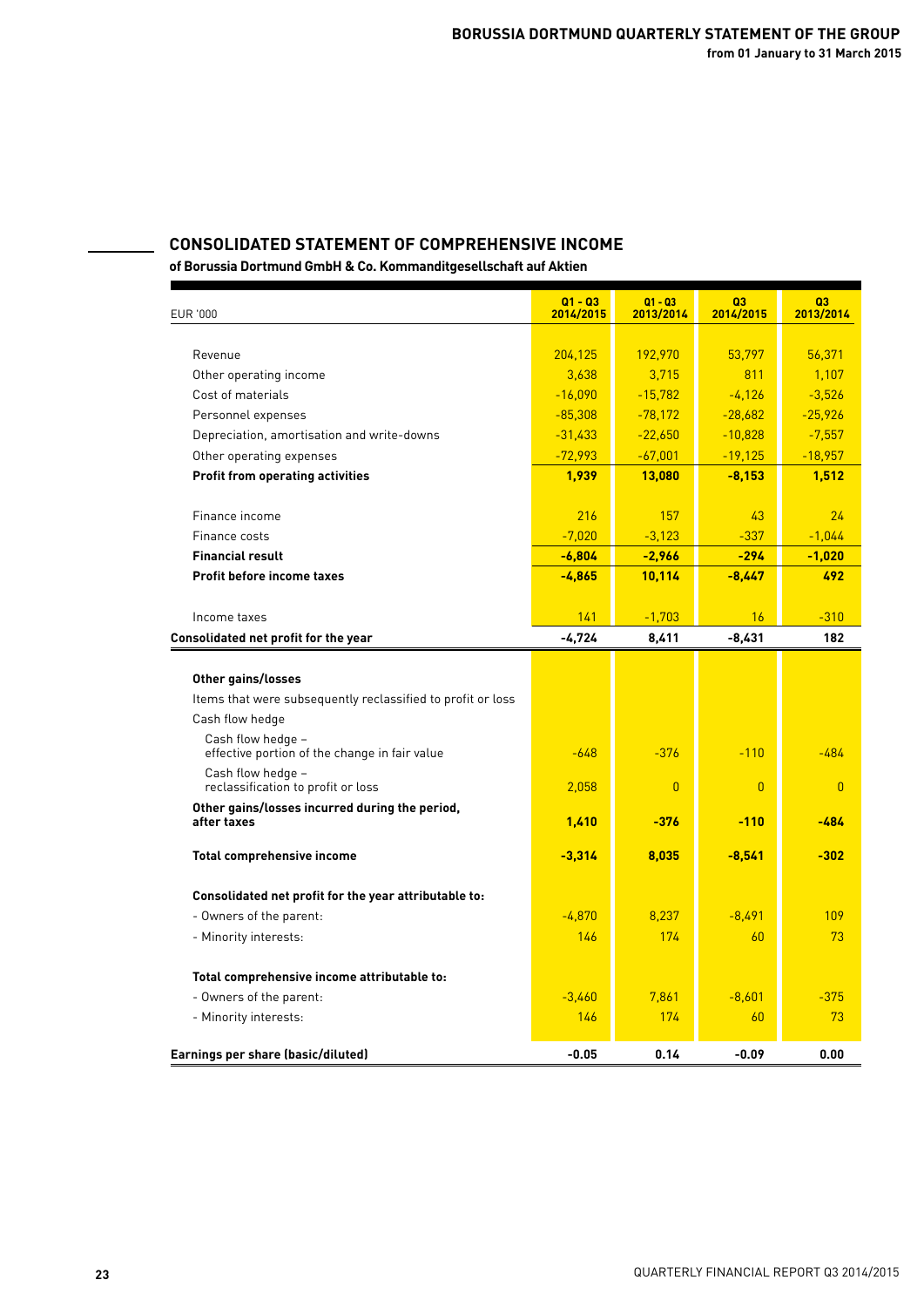## **CONSOLIDATED STATEMENT OF COMPREHENSIVE INCOME**

| <b>EUR '000</b>                                                    | $Q1 - Q3$<br>2014/2015 | $Q1 - Q3$<br>2013/2014 | Q <sub>3</sub><br>2014/2015 | Q <sub>3</sub><br>2013/2014 |
|--------------------------------------------------------------------|------------------------|------------------------|-----------------------------|-----------------------------|
|                                                                    |                        |                        |                             |                             |
| Revenue                                                            | 204,125                | 192,970                | 53,797                      | 56,371                      |
| Other operating income                                             | 3,638                  | 3,715                  | 811                         | 1,107                       |
| Cost of materials                                                  | $-16,090$              | $-15,782$              | $-4,126$                    | $-3,526$                    |
| Personnel expenses                                                 | $-85,308$              | $-78,172$              | $-28,682$                   | $-25,926$                   |
| Depreciation, amortisation and write-downs                         | $-31,433$              | $-22,650$              | $-10,828$                   | $-7,557$                    |
| Other operating expenses                                           | $-72,993$              | $-67,001$              | $-19,125$                   | $-18,957$                   |
| <b>Profit from operating activities</b>                            | 1,939                  | 13,080                 | $-8,153$                    | 1,512                       |
| Finance income                                                     | 216                    | 157                    | 43                          | 24                          |
| Finance costs                                                      | $-7,020$               | $-3,123$               | $-337$                      | $-1,044$                    |
| <b>Financial result</b>                                            | $-6,804$               | $-2,966$               | $-294$                      | $-1,020$                    |
| <b>Profit before income taxes</b>                                  | $-4,865$               | 10,114                 | $-8.447$                    | 492                         |
|                                                                    |                        |                        |                             |                             |
| Income taxes                                                       | 141                    | $-1,703$               | 16                          | $-310$                      |
| Consolidated net profit for the year                               | -4,724                 | 8,411                  | $-8,431$                    | 182                         |
|                                                                    |                        |                        |                             |                             |
| Other gains/losses                                                 |                        |                        |                             |                             |
| Items that were subsequently reclassified to profit or loss        |                        |                        |                             |                             |
| Cash flow hedge                                                    |                        |                        |                             |                             |
| Cash flow hedge -<br>effective portion of the change in fair value | $-648$                 | $-376$                 | $-110$                      | $-484$                      |
| Cash flow hedge -<br>reclassification to profit or loss            | 2,058                  | $\overline{0}$         | $\overline{0}$              | $\overline{0}$              |
| Other gains/losses incurred during the period,<br>after taxes      | 1,410                  | $-376$                 | $-110$                      | -484                        |
| <b>Total comprehensive income</b>                                  | $-3,314$               | 8,035                  | $-8,541$                    | $-302$                      |
| Consolidated net profit for the year attributable to:              |                        |                        |                             |                             |
| - Owners of the parent:                                            | $-4,870$               | 8,237                  | $-8,491$                    | 109                         |
| - Minority interests:                                              | 146                    | 174                    | 60                          | 73                          |
|                                                                    |                        |                        |                             |                             |
| Total comprehensive income attributable to:                        |                        |                        |                             |                             |
| - Owners of the parent:                                            | $-3,460$               | 7,861                  | $-8,601$                    | $-375$                      |
| - Minority interests:                                              | 146                    | 174                    | 60                          | 73                          |
| Earnings per share (basic/diluted)                                 | $-0.05$                | 0.14                   | $-0.09$                     | 0.00                        |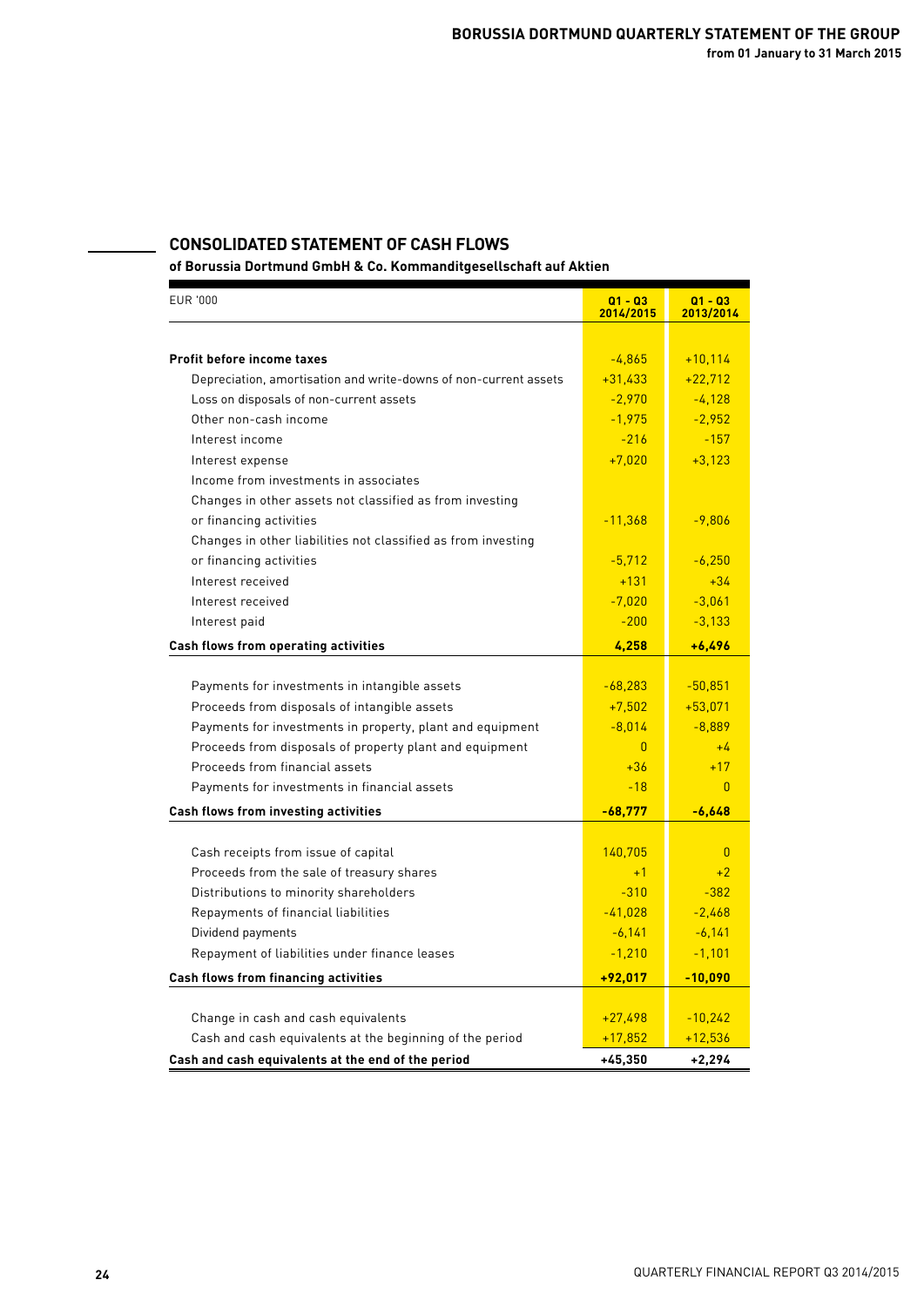## **CONSOLIDATED STATEMENT OF CASH FLOWS**

| <b>EUR '000</b>                                                  | $Q1 - Q3$<br>2014/2015 | $Q1 - Q3$<br>2013/2014 |
|------------------------------------------------------------------|------------------------|------------------------|
|                                                                  |                        |                        |
| <b>Profit before income taxes</b>                                | $-4,865$               | $+10,114$              |
| Depreciation, amortisation and write-downs of non-current assets | $+31,433$              | $+22,712$              |
| Loss on disposals of non-current assets                          | $-2,970$               | $-4,128$               |
| Other non-cash income                                            | $-1,975$               | $-2,952$               |
| Interest income                                                  | $-216$                 | $-157$                 |
| Interest expense                                                 | $+7,020$               | $+3,123$               |
| Income from investments in associates                            |                        |                        |
| Changes in other assets not classified as from investing         |                        |                        |
| or financing activities                                          | $-11,368$              | $-9,806$               |
| Changes in other liabilities not classified as from investing    |                        |                        |
| or financing activities                                          | $-5,712$               | $-6,250$               |
| Interest received                                                | $+131$                 | $+34$                  |
| Interest received                                                | $-7,020$               | $-3,061$               |
| Interest paid                                                    | $-200$                 | $-3,133$               |
| Cash flows from operating activities                             | 4,258                  | $+6.496$               |
|                                                                  |                        |                        |
| Payments for investments in intangible assets                    | $-68,283$              | $-50,851$              |
| Proceeds from disposals of intangible assets                     | $+7,502$               | $+53,071$              |
| Payments for investments in property, plant and equipment        | $-8,014$               | $-8,889$               |
| Proceeds from disposals of property plant and equipment          | $\overline{0}$         | $+4$                   |
| Proceeds from financial assets                                   | $+36$                  | $+17$                  |
| Payments for investments in financial assets                     | $-18$                  | $\mathbf{0}$           |
| Cash flows from investing activities                             | $-68,777$              | $-6,648$               |
|                                                                  |                        |                        |
| Cash receipts from issue of capital                              | 140,705                | $\mathbf{0}$           |
| Proceeds from the sale of treasury shares                        | $+1$                   | $+2$                   |
| Distributions to minority shareholders                           | $-310$                 | $-382$<br>$-2,468$     |
| Repayments of financial liabilities                              | $-41,028$              |                        |
| Dividend payments                                                | $-6,141$               | $-6,141$               |
| Repayment of liabilities under finance leases                    | $-1,210$               | $-1,101$               |
| Cash flows from financing activities                             | $+92,017$              | $-10,090$              |
| Change in cash and cash equivalents                              | $+27,498$              | $-10,242$              |
| Cash and cash equivalents at the beginning of the period         | $+17,852$              | $+12,536$              |
| Cash and cash equivalents at the end of the period               | $+45,350$              | $+2,294$               |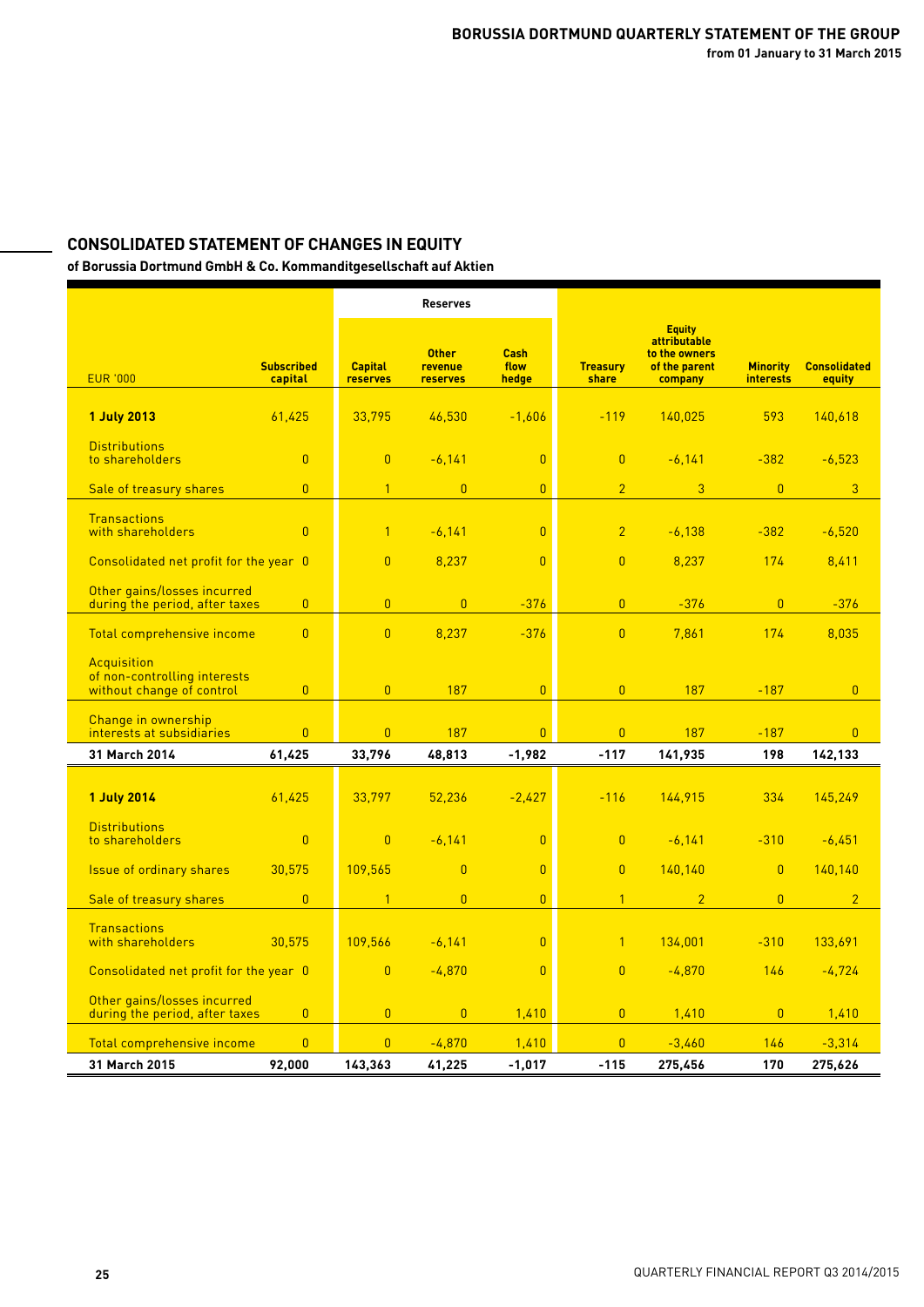# **CONSOLIDATED STATEMENT OF CHANGES IN EQUITY**

|                                                           |                              |                                   | <b>Reserves</b>                     |                              |                          |                                                                            |                                     |                               |
|-----------------------------------------------------------|------------------------------|-----------------------------------|-------------------------------------|------------------------------|--------------------------|----------------------------------------------------------------------------|-------------------------------------|-------------------------------|
| <b>EUR '000</b>                                           | <b>Subscribed</b><br>capital | <b>Capital</b><br><b>reserves</b> | <b>Other</b><br>revenue<br>reserves | <b>Cash</b><br>flow<br>hedge | <b>Treasury</b><br>share | <b>Equity</b><br>attributable<br>to the owners<br>of the parent<br>company | <b>Minority</b><br><b>interests</b> | <b>Consolidated</b><br>equity |
|                                                           |                              |                                   |                                     |                              |                          |                                                                            |                                     |                               |
| <b>1 July 2013</b>                                        | 61,425                       | 33,795                            | 46,530                              | $-1,606$                     | $-119$                   | 140,025                                                                    | 593                                 | 140,618                       |
| <b>Distributions</b><br>to shareholders                   | $\pmb{0}$                    | $\pmb{0}$                         | $-6,141$                            | $\pmb{0}$                    | $\overline{0}$           | $-6,141$                                                                   | $-382$                              | $-6,523$                      |
| Sale of treasury shares                                   | $\overline{0}$               | $\overline{1}$                    | $\overline{0}$                      | $\overline{0}$               | $\overline{2}$           | 3                                                                          | $\overline{0}$                      | 3                             |
|                                                           |                              |                                   |                                     |                              |                          |                                                                            |                                     |                               |
| <b>Transactions</b><br>with shareholders                  | $\overline{0}$               | $\overline{1}$                    | $-6,141$                            | $\overline{0}$               | $\overline{2}$           | $-6,138$                                                                   | $-382$                              | $-6,520$                      |
| Consolidated net profit for the year 0                    |                              | $\overline{0}$                    | 8,237                               | $\overline{0}$               | $\overline{0}$           | 8,237                                                                      | 174                                 | 8,411                         |
| Other gains/losses incurred                               |                              |                                   |                                     |                              |                          |                                                                            |                                     |                               |
| during the period, after taxes                            | $\overline{0}$               | $\overline{0}$                    | $\overline{0}$                      | $-376$                       | $\overline{0}$           | $-376$                                                                     | $\overline{0}$                      | $-376$                        |
| Total comprehensive income                                | $\overline{0}$               | $\overline{0}$                    | 8,237                               | $-376$                       | $\overline{0}$           | 7,861                                                                      | 174                                 | 8.035                         |
| Acquisition                                               |                              |                                   |                                     |                              |                          |                                                                            |                                     |                               |
| of non-controlling interests<br>without change of control | $\overline{0}$               | $\overline{0}$                    | 187                                 | $\overline{0}$               | $\overline{0}$           | 187                                                                        | $-187$                              | $\overline{0}$                |
| Change in ownership                                       |                              |                                   |                                     |                              |                          |                                                                            |                                     |                               |
| interests at subsidiaries                                 | $\overline{0}$               | $\overline{0}$                    | 187                                 | $\overline{0}$               | $\overline{0}$           | 187                                                                        | $-187$                              | $\overline{0}$                |
| 31 March 2014                                             | 61,425                       | 33,796                            | 48,813                              | $-1,982$                     | $-117$                   | 141,935                                                                    | 198                                 | 142,133                       |
| <b>1 July 2014</b>                                        | 61.425                       | 33.797                            | 52,236                              | $-2.427$                     | $-116$                   | 144,915                                                                    | 334                                 | 145.249                       |
| <b>Distributions</b>                                      |                              |                                   |                                     |                              |                          |                                                                            |                                     |                               |
| to shareholders                                           | $\mathbf{0}$                 | $\overline{0}$                    | $-6,141$                            | $\overline{0}$               | $\overline{0}$           | $-6,141$                                                                   | $-310$                              | $-6,451$                      |
| <b>Issue of ordinary shares</b>                           | 30,575                       | 109,565                           | $\overline{0}$                      | $\overline{0}$               | $\overline{0}$           | 140,140                                                                    | $\overline{0}$                      | 140,140                       |
| Sale of treasury shares                                   | $\overline{0}$               | $\overline{1}$                    | $\overline{0}$                      | $\overline{0}$               | $\overline{1}$           | $\overline{2}$                                                             | $\overline{0}$                      | $\overline{2}$                |
| <b>Transactions</b><br>with shareholders                  | 30,575                       | 109,566                           | $-6,141$                            | $\overline{0}$               | $\overline{1}$           | 134,001                                                                    | $-310$                              | 133,691                       |
| Consolidated net profit for the year 0                    |                              | $\pmb{0}$                         | $-4,870$                            | $\overline{0}$               | $\overline{0}$           | $-4,870$                                                                   | 146                                 | $-4,724$                      |
| Other gains/losses incurred                               |                              |                                   |                                     |                              |                          |                                                                            |                                     |                               |
| during the period, after taxes                            | $\overline{0}$               | $\overline{0}$                    | $\overline{0}$                      | 1,410                        | $\overline{0}$           | 1,410                                                                      | $\overline{0}$                      | 1,410                         |
| Total comprehensive income                                | $\overline{0}$               | $\overline{0}$                    | $-4,870$                            | 1,410                        | $\overline{0}$           | $-3,460$                                                                   | 146                                 | $-3,314$                      |
| 31 March 2015                                             | 92.000                       | 143,363                           | 41,225                              | $-1.017$                     | $-115$                   | 275,456                                                                    | 170                                 | 275,626                       |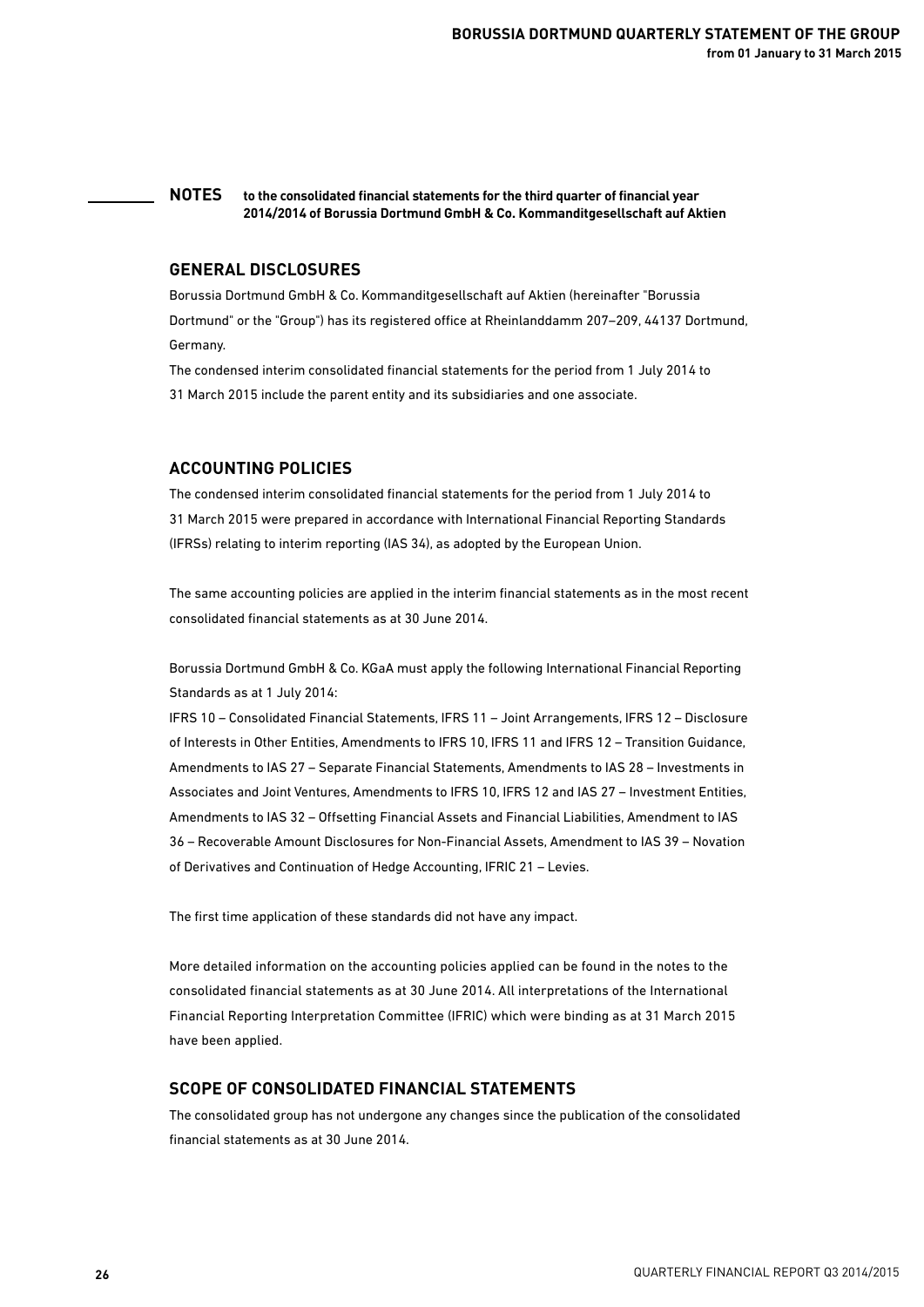#### **NOTES to the consolidated financial statements for the third quarter of financial year 2014/2014 of Borussia Dortmund GmbH & Co. Kommanditgesellschaft auf Aktien**

### **GENERAL DISCLOSURES**

Borussia Dortmund GmbH & Co. Kommanditgesellschaft auf Aktien (hereinafter "Borussia Dortmund" or the "Group") has its registered office at Rheinlanddamm 207–209, 44137 Dortmund, Germany.

The condensed interim consolidated financial statements for the period from 1 July 2014 to 31 March 2015 include the parent entity and its subsidiaries and one associate.

## **ACCOUNTING POLICIES**

The condensed interim consolidated financial statements for the period from 1 July 2014 to 31 March 2015 were prepared in accordance with International Financial Reporting Standards (IFRSs) relating to interim reporting (IAS 34), as adopted by the European Union.

The same accounting policies are applied in the interim financial statements as in the most recent consolidated financial statements as at 30 June 2014.

Borussia Dortmund GmbH & Co. KGaA must apply the following International Financial Reporting Standards as at 1 July 2014:

IFRS 10 – Consolidated Financial Statements, IFRS 11 – Joint Arrangements, IFRS 12 – Disclosure of Interests in Other Entities, Amendments to IFRS 10, IFRS 11 and IFRS 12 – Transition Guidance, Amendments to IAS 27 – Separate Financial Statements, Amendments to IAS 28 – Investments in Associates and Joint Ventures, Amendments to IFRS 10, IFRS 12 and IAS 27 – Investment Entities, Amendments to IAS 32 – Offsetting Financial Assets and Financial Liabilities, Amendment to IAS 36 – Recoverable Amount Disclosures for Non-Financial Assets, Amendment to IAS 39 – Novation of Derivatives and Continuation of Hedge Accounting, IFRIC 21 – Levies.

The first time application of these standards did not have any impact.

More detailed information on the accounting policies applied can be found in the notes to the consolidated financial statements as at 30 June 2014. All interpretations of the International Financial Reporting Interpretation Committee (IFRIC) which were binding as at 31 March 2015 have been applied.

### **SCOPE OF CONSOLIDATED FINANCIAL STATEMENTS**

The consolidated group has not undergone any changes since the publication of the consolidated financial statements as at 30 June 2014.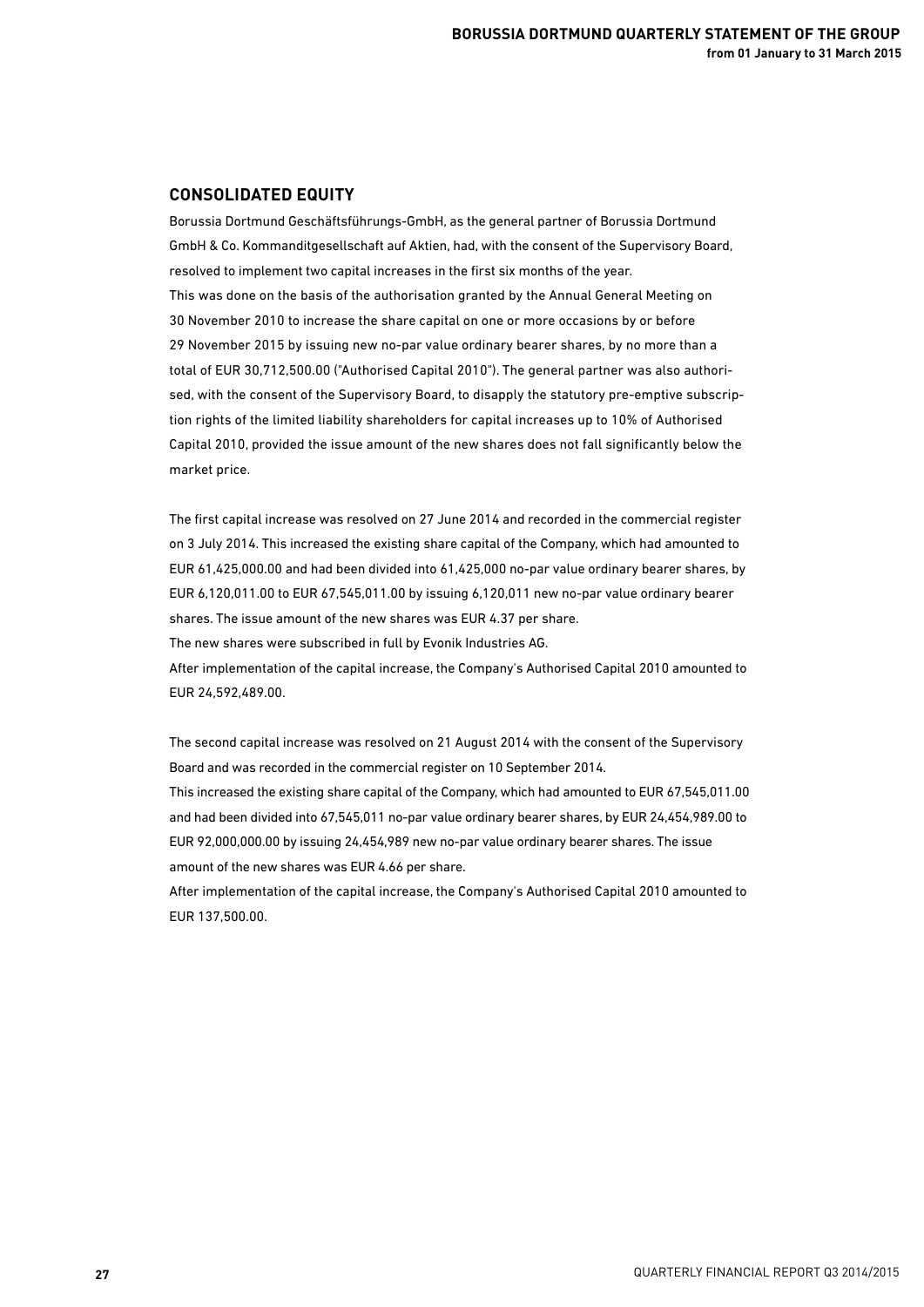### **CONSOLIDATED EQUITY**

Borussia Dortmund Geschäftsführungs-GmbH, as the general partner of Borussia Dortmund GmbH & Co. Kommanditgesellschaft auf Aktien, had, with the consent of the Supervisory Board, resolved to implement two capital increases in the first six months of the year. This was done on the basis of the authorisation granted by the Annual General Meeting on 30 November 2010 to increase the share capital on one or more occasions by or before 29 November 2015 by issuing new no-par value ordinary bearer shares, by no more than a total of EUR 30,712,500.00 ("Authorised Capital 2010"). The general partner was also authorised, with the consent of the Supervisory Board, to disapply the statutory pre-emptive subscription rights of the limited liability shareholders for capital increases up to 10% of Authorised Capital 2010, provided the issue amount of the new shares does not fall significantly below the market price.

The first capital increase was resolved on 27 June 2014 and recorded in the commercial register on 3 July 2014. This increased the existing share capital of the Company, which had amounted to EUR 61,425,000.00 and had been divided into 61,425,000 no-par value ordinary bearer shares, by EUR 6,120,011.00 to EUR 67,545,011.00 by issuing 6,120,011 new no-par value ordinary bearer shares. The issue amount of the new shares was EUR 4.37 per share.

The new shares were subscribed in full by Evonik Industries AG.

After implementation of the capital increase, the Company's Authorised Capital 2010 amounted to EUR 24,592,489.00.

The second capital increase was resolved on 21 August 2014 with the consent of the Supervisory Board and was recorded in the commercial register on 10 September 2014.

This increased the existing share capital of the Company, which had amounted to EUR 67,545,011.00 and had been divided into 67,545,011 no-par value ordinary bearer shares, by EUR 24,454,989.00 to EUR 92,000,000.00 by issuing 24,454,989 new no-par value ordinary bearer shares. The issue amount of the new shares was EUR 4.66 per share.

After implementation of the capital increase, the Company's Authorised Capital 2010 amounted to EUR 137,500.00.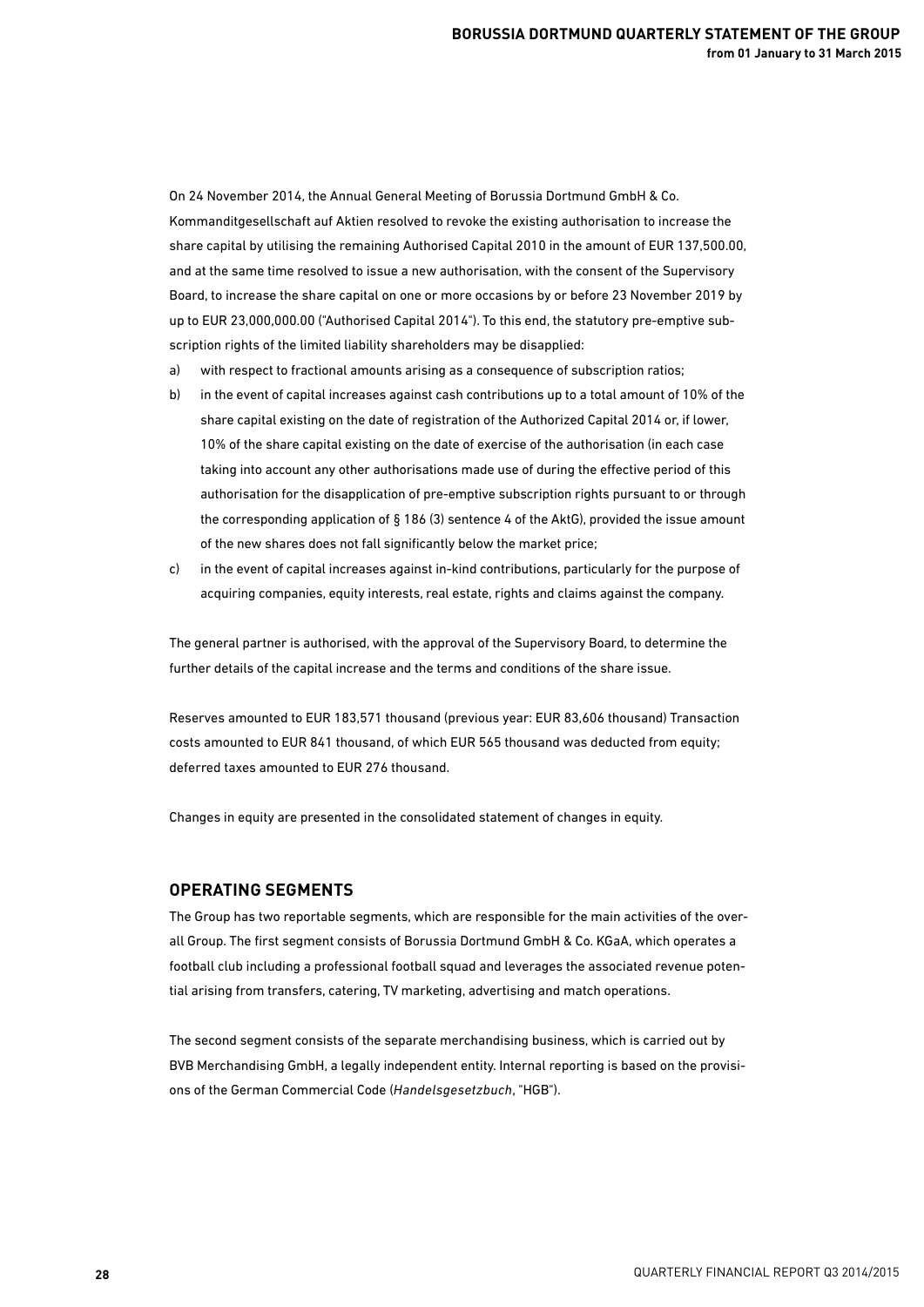On 24 November 2014, the Annual General Meeting of Borussia Dortmund GmbH & Co. Kommanditgesellschaft auf Aktien resolved to revoke the existing authorisation to increase the share capital by utilising the remaining Authorised Capital 2010 in the amount of EUR 137,500.00, and at the same time resolved to issue a new authorisation, with the consent of the Supervisory Board, to increase the share capital on one or more occasions by or before 23 November 2019 by up to EUR 23,000,000.00 ("Authorised Capital 2014"). To this end, the statutory pre-emptive subscription rights of the limited liability shareholders may be disapplied:

- a) with respect to fractional amounts arising as a consequence of subscription ratios;
- b) in the event of capital increases against cash contributions up to a total amount of 10% of the share capital existing on the date of registration of the Authorized Capital 2014 or, if lower, 10% of the share capital existing on the date of exercise of the authorisation (in each case taking into account any other authorisations made use of during the effective period of this authorisation for the disapplication of pre-emptive subscription rights pursuant to or through the corresponding application of § 186 (3) sentence 4 of the AktG), provided the issue amount of the new shares does not fall significantly below the market price;
- c) in the event of capital increases against in-kind contributions, particularly for the purpose of acquiring companies, equity interests, real estate, rights and claims against the company.

The general partner is authorised, with the approval of the Supervisory Board, to determine the further details of the capital increase and the terms and conditions of the share issue.

Reserves amounted to EUR 183,571 thousand (previous year: EUR 83,606 thousand) Transaction costs amounted to EUR 841 thousand, of which EUR 565 thousand was deducted from equity; deferred taxes amounted to EUR 276 thousand.

Changes in equity are presented in the consolidated statement of changes in equity.

### **OPERATING SEGMENTS**

The Group has two reportable segments, which are responsible for the main activities of the overall Group. The first segment consists of Borussia Dortmund GmbH & Co. KGaA, which operates a football club including a professional football squad and leverages the associated revenue potential arising from transfers, catering, TV marketing, advertising and match operations.

The second segment consists of the separate merchandising business, which is carried out by BVB Merchandising GmbH, a legally independent entity. Internal reporting is based on the provisions of the German Commercial Code (*Handelsgesetzbuch*, "HGB").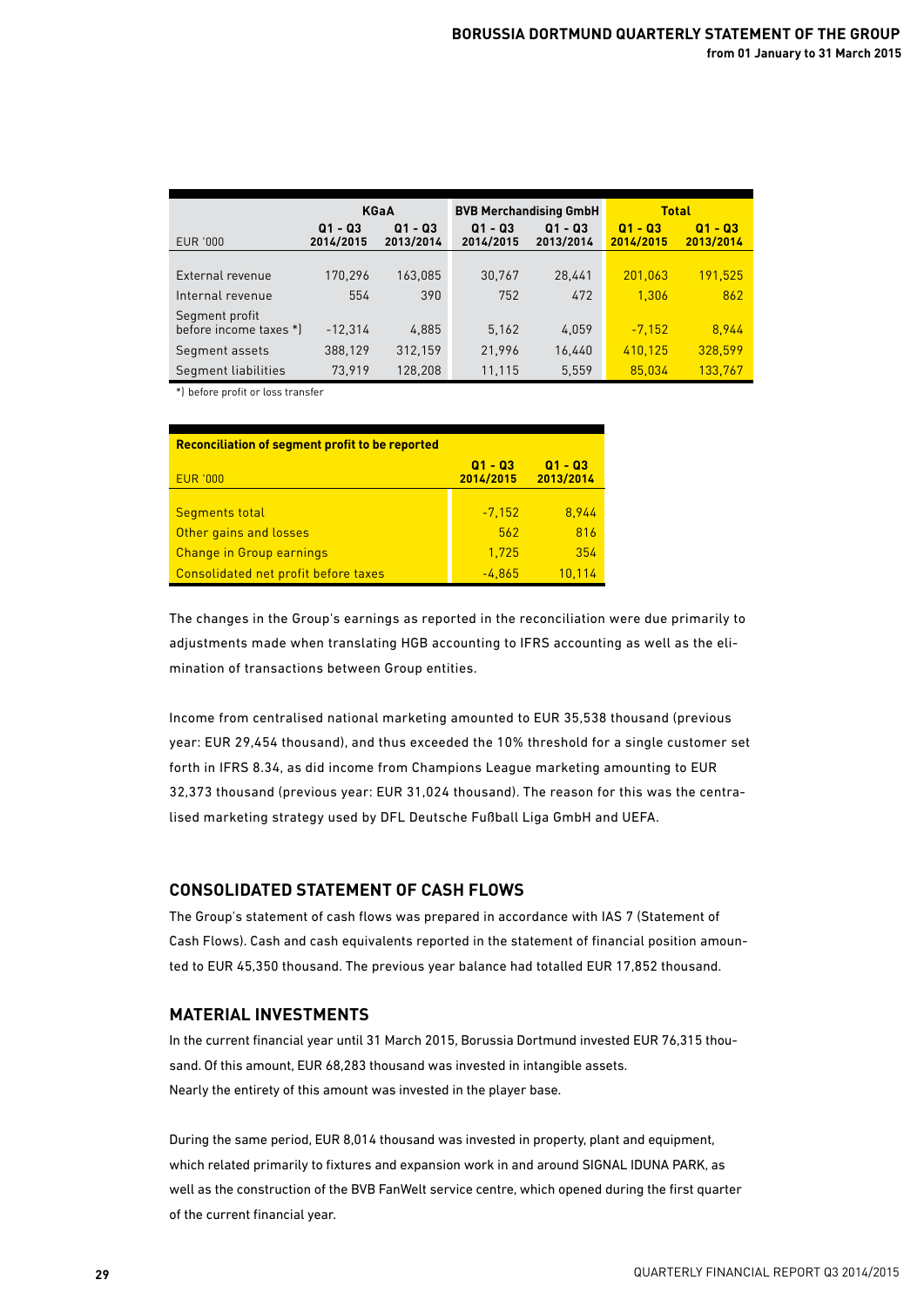|                        |                        | <b>KGaA</b>            |                         | <b>BVB Merchandising GmbH</b> | <b>Total</b>             |                         |
|------------------------|------------------------|------------------------|-------------------------|-------------------------------|--------------------------|-------------------------|
| EUR '000               | $Q1 - Q3$<br>2014/2015 | $Q1 - Q3$<br>2013/2014 | 01<br>- 03<br>2014/2015 | 01<br>- 03<br>2013/2014       | 01<br>$-03$<br>2014/2015 | - 03<br>01<br>2013/2014 |
|                        |                        |                        |                         |                               |                          |                         |
| External revenue       | 170,296                | 163.085                | 30,767                  | 28,441                        | 201,063                  | 191,525                 |
| Internal revenue       | 554                    | 390                    | 752                     | 472                           | 1.306                    | 862                     |
| Segment profit         |                        |                        |                         |                               |                          |                         |
| before income taxes *) | $-12,314$              | 4,885                  | 5.162                   | 4,059                         | $-7,152$                 | 8.944                   |
| Segment assets         | 388,129                | 312,159                | 21,996                  | 16,440                        | 410.125                  | 328.599                 |
| Segment liabilities    | 73.919                 | 128.208                | 11,115                  | 5,559                         | 85.034                   | 133,767                 |

\*) before profit or loss transfer

| <b>Reconciliation of segment profit to be reported</b> |                      |                        |  |  |  |  |
|--------------------------------------------------------|----------------------|------------------------|--|--|--|--|
| <b>EUR '000</b>                                        | Q1 - Q3<br>2014/2015 | $Q1 - Q3$<br>2013/2014 |  |  |  |  |
|                                                        |                      |                        |  |  |  |  |
| <b>Segments total</b>                                  | $-7,152$             | 8.944                  |  |  |  |  |
| Other gains and losses                                 | 562                  | 816                    |  |  |  |  |
| <b>Change in Group earnings</b>                        | 1.725                | 354                    |  |  |  |  |
| Consolidated net profit before taxes                   | $-4.865$             | 10.114                 |  |  |  |  |

The changes in the Group's earnings as reported in the reconciliation were due primarily to adjustments made when translating HGB accounting to IFRS accounting as well as the elimination of transactions between Group entities.

Income from centralised national marketing amounted to EUR 35,538 thousand (previous year: EUR 29,454 thousand), and thus exceeded the 10% threshold for a single customer set forth in IFRS 8.34, as did income from Champions League marketing amounting to EUR 32,373 thousand (previous year: EUR 31,024 thousand). The reason for this was the centralised marketing strategy used by DFL Deutsche Fußball Liga GmbH and UEFA.

### **CONSOLIDATED STATEMENT OF CASH FLOWS**

The Group's statement of cash flows was prepared in accordance with IAS 7 (Statement of Cash Flows). Cash and cash equivalents reported in the statement of financial position amounted to EUR 45,350 thousand. The previous year balance had totalled EUR 17,852 thousand.

## **MATERIAL INVESTMENTS**

In the current financial year until 31 March 2015, Borussia Dortmund invested EUR 76,315 thousand. Of this amount, EUR 68,283 thousand was invested in intangible assets. Nearly the entirety of this amount was invested in the player base.

During the same period, EUR 8,014 thousand was invested in property, plant and equipment, which related primarily to fixtures and expansion work in and around SIGNAL IDUNA PARK, as well as the construction of the BVB FanWelt service centre, which opened during the first quarter of the current financial year.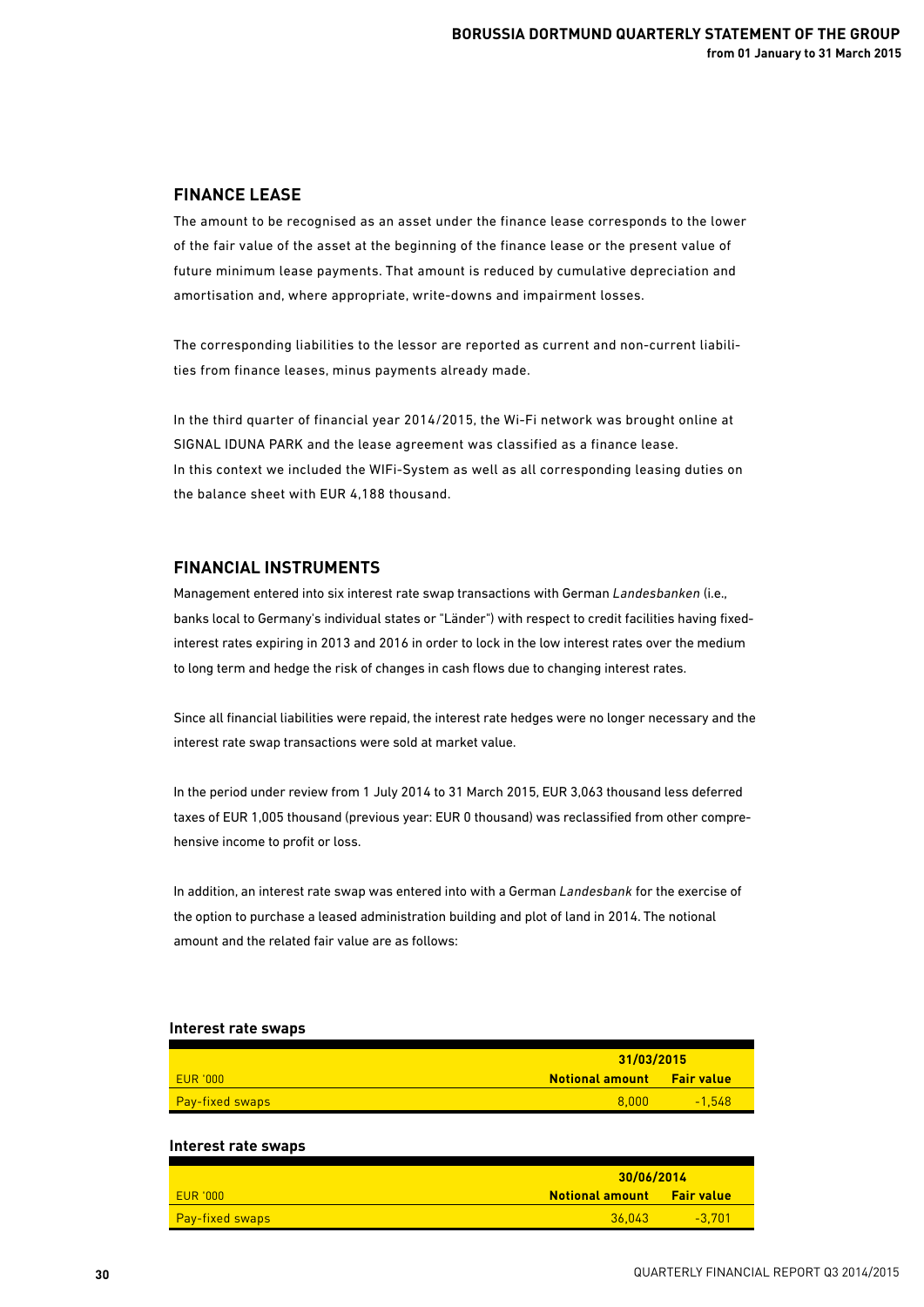### **FINANCE LEASE**

The amount to be recognised as an asset under the finance lease corresponds to the lower of the fair value of the asset at the beginning of the finance lease or the present value of future minimum lease payments. That amount is reduced by cumulative depreciation and amortisation and, where appropriate, write-downs and impairment losses.

The corresponding liabilities to the lessor are reported as current and non-current liabilities from finance leases, minus payments already made.

In the third quarter of financial year 2014/2015, the Wi-Fi network was brought online at SIGNAL IDUNA PARK and the lease agreement was classified as a finance lease. In this context we included the WIFi-System as well as all corresponding leasing duties on the balance sheet with EUR 4,188 thousand.

## **FINANCIAL INSTRUMENTS**

Management entered into six interest rate swap transactions with German *Landesbanken* (i.e., banks local to Germany's individual states or "Länder") with respect to credit facilities having fixedinterest rates expiring in 2013 and 2016 in order to lock in the low interest rates over the medium to long term and hedge the risk of changes in cash flows due to changing interest rates.

Since all financial liabilities were repaid, the interest rate hedges were no longer necessary and the interest rate swap transactions were sold at market value.

In the period under review from 1 July 2014 to 31 March 2015, EUR 3,063 thousand less deferred taxes of EUR 1,005 thousand (previous year: EUR 0 thousand) was reclassified from other comprehensive income to profit or loss.

In addition, an interest rate swap was entered into with a German *Landesbank* for the exercise of the option to purchase a leased administration building and plot of land in 2014. The notional amount and the related fair value are as follows:

# **31/03/2015** EUR '000 **Notional amount Fair value** Pay-fixed swaps 8,000 -1,548 **Interest rate swaps 30/06/2014** EUR '000 **Notional amount Fair value**

Pay-fixed swaps 36,043 -3,701 -3,701 -3,701 -3,701 -3,701 -3,701 -3,701 -3,701 -3,701 -3,701 -3,701 -3,701 -3,

#### **Interest rate swaps**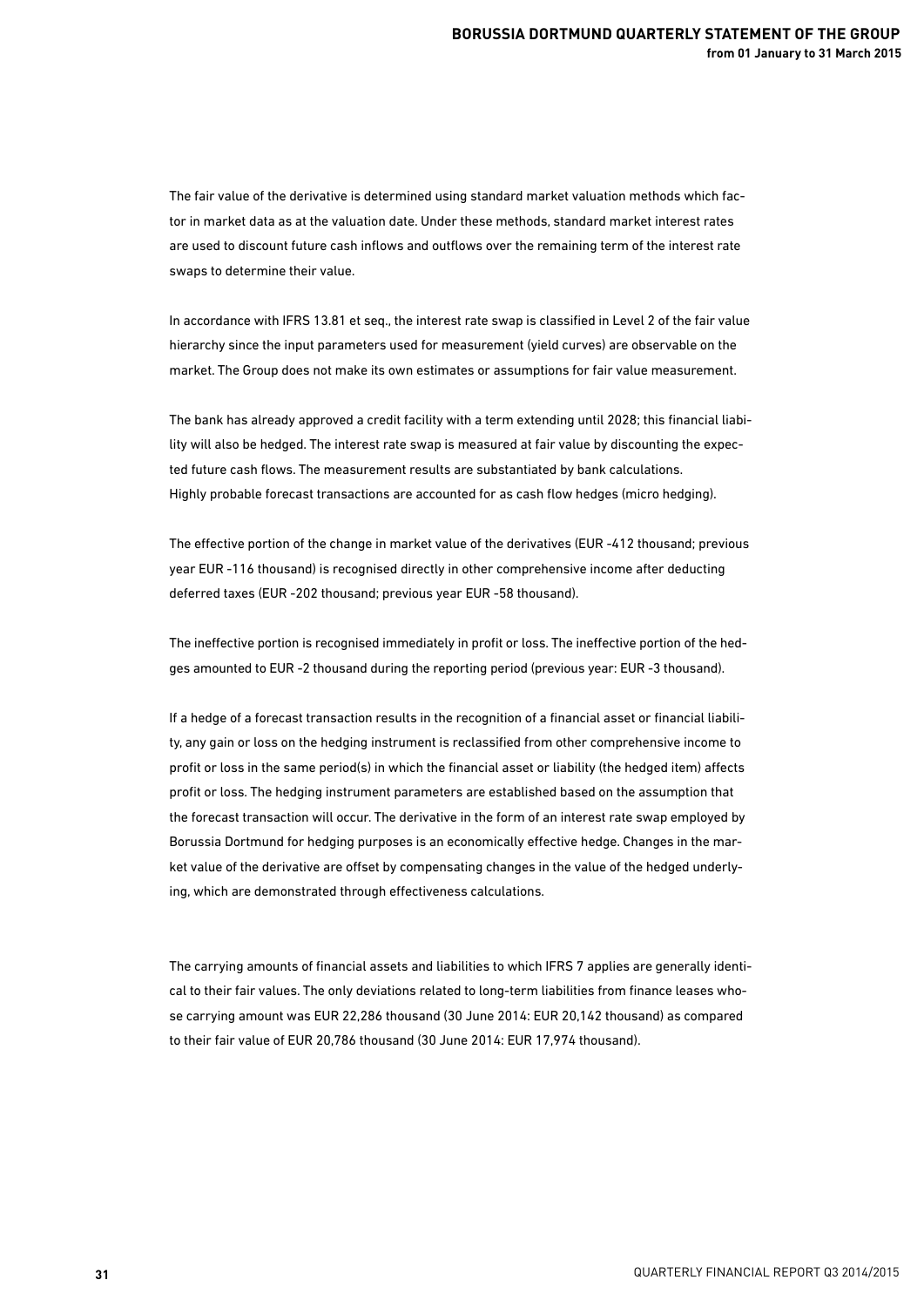The fair value of the derivative is determined using standard market valuation methods which factor in market data as at the valuation date. Under these methods, standard market interest rates are used to discount future cash inflows and outflows over the remaining term of the interest rate swaps to determine their value.

In accordance with IFRS 13.81 et seq., the interest rate swap is classified in Level 2 of the fair value hierarchy since the input parameters used for measurement (yield curves) are observable on the market. The Group does not make its own estimates or assumptions for fair value measurement.

The bank has already approved a credit facility with a term extending until 2028; this financial liability will also be hedged. The interest rate swap is measured at fair value by discounting the expected future cash flows. The measurement results are substantiated by bank calculations. Highly probable forecast transactions are accounted for as cash flow hedges (micro hedging).

The effective portion of the change in market value of the derivatives (EUR -412 thousand; previous year EUR -116 thousand) is recognised directly in other comprehensive income after deducting deferred taxes (EUR -202 thousand; previous year EUR -58 thousand).

The ineffective portion is recognised immediately in profit or loss. The ineffective portion of the hedges amounted to EUR -2 thousand during the reporting period (previous year: EUR -3 thousand).

If a hedge of a forecast transaction results in the recognition of a financial asset or financial liability, any gain or loss on the hedging instrument is reclassified from other comprehensive income to profit or loss in the same period(s) in which the financial asset or liability (the hedged item) affects profit or loss. The hedging instrument parameters are established based on the assumption that the forecast transaction will occur. The derivative in the form of an interest rate swap employed by Borussia Dortmund for hedging purposes is an economically effective hedge. Changes in the market value of the derivative are offset by compensating changes in the value of the hedged underlying, which are demonstrated through effectiveness calculations.

The carrying amounts of financial assets and liabilities to which IFRS 7 applies are generally identical to their fair values. The only deviations related to long-term liabilities from finance leases whose carrying amount was EUR 22,286 thousand (30 June 2014: EUR 20,142 thousand) as compared to their fair value of EUR 20,786 thousand (30 June 2014: EUR 17,974 thousand).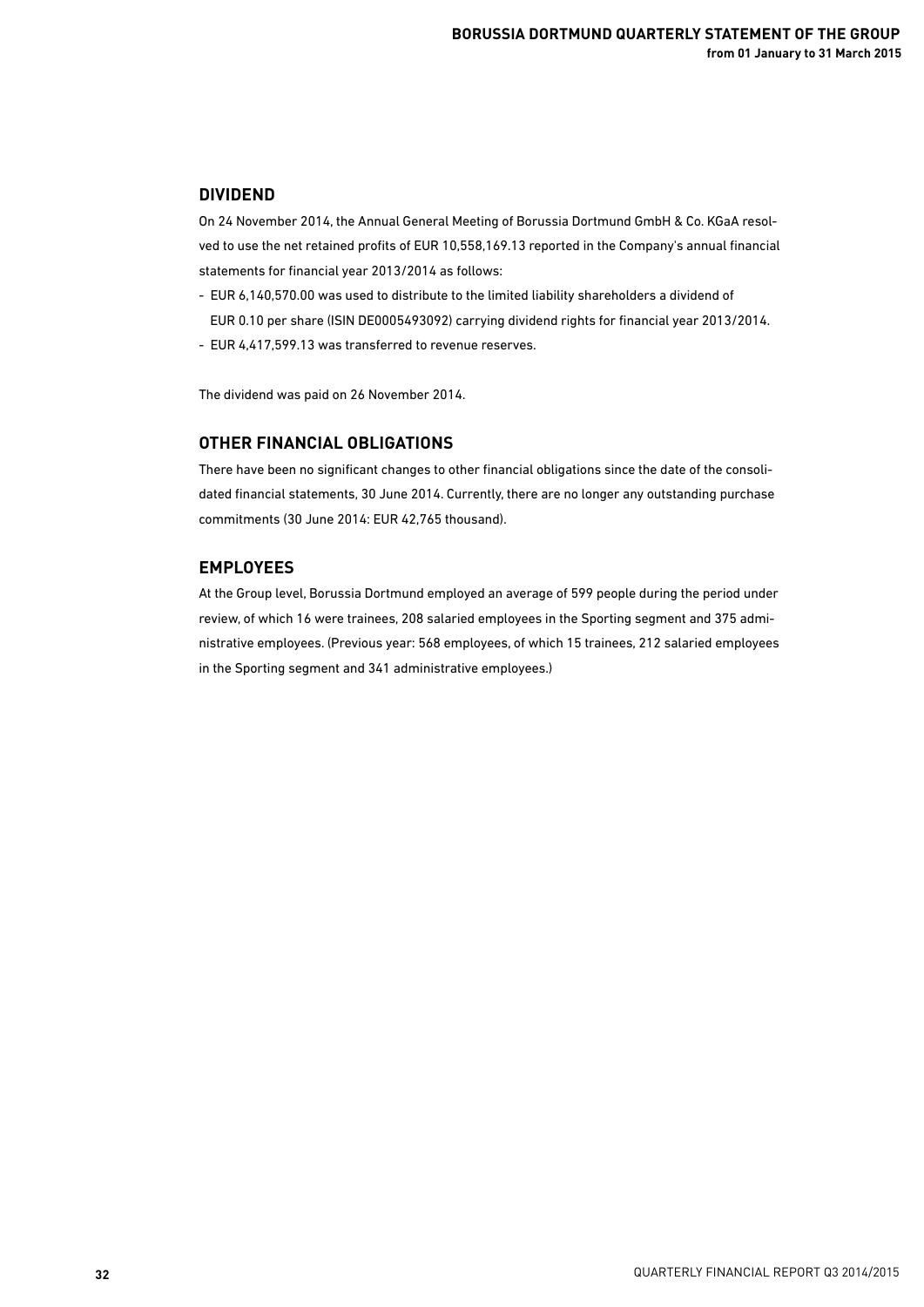## **DIVIDEND**

On 24 November 2014, the Annual General Meeting of Borussia Dortmund GmbH & Co. KGaA resolved to use the net retained profits of EUR 10,558,169.13 reported in the Company's annual financial statements for financial year 2013/2014 as follows:

- EUR 6,140,570.00 was used to distribute to the limited liability shareholders a dividend of
- EUR 0.10 per share (ISIN DE0005493092) carrying dividend rights for financial year 2013/2014.
- EUR 4,417,599.13 was transferred to revenue reserves.

The dividend was paid on 26 November 2014.

## **OTHER FINANCIAL OBLIGATIONS**

There have been no significant changes to other financial obligations since the date of the consolidated financial statements, 30 June 2014. Currently, there are no longer any outstanding purchase commitments (30 June 2014: EUR 42,765 thousand).

## **EMPLOYEES**

At the Group level, Borussia Dortmund employed an average of 599 people during the period under review, of which 16 were trainees, 208 salaried employees in the Sporting segment and 375 administrative employees. (Previous year: 568 employees, of which 15 trainees, 212 salaried employees in the Sporting segment and 341 administrative employees.)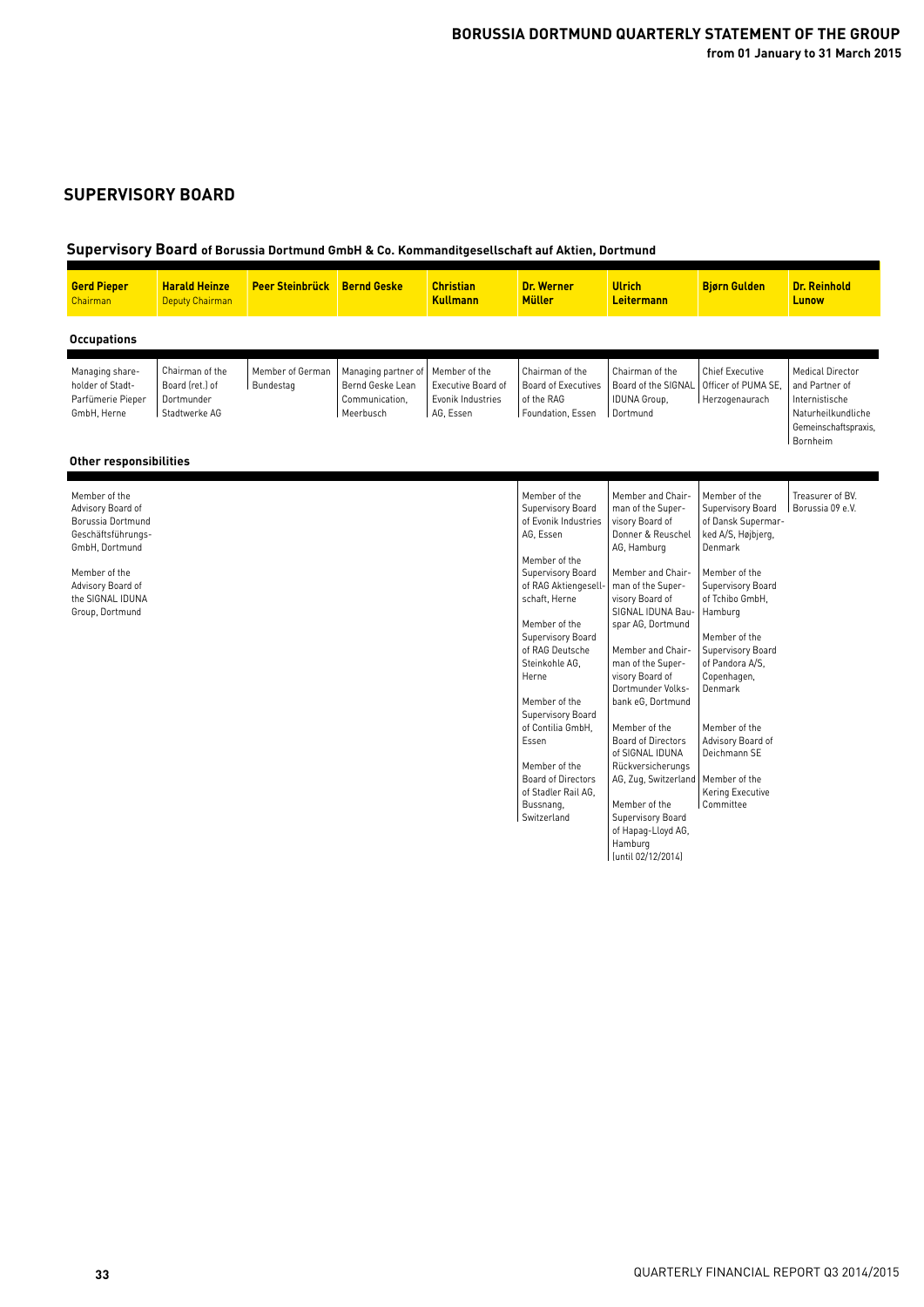## **SUPERVISORY BOARD**

## **Supervisory Board of Borussia Dortmund GmbH & Co. Kommanditgesellschaft auf Aktien, Dortmund**

| <b>Gerd Pieper</b><br>Chairman                                                                                                                                               | <b>Harald Heinze</b><br><b>Deputy Chairman</b>                    | <b>Peer Steinbrück</b>        | <b>Bernd Geske</b>                                                     | <b>Christian</b><br><b>Kullmann</b>                                   | <b>Dr. Werner</b><br><b>Müller</b>                                                                                                                                                                                                                                                                                                                                                                              | <b>Ulrich</b><br>Leitermann                                                                                                                                                                                                                                                                                                                                                                                                                                                                                            | <b>Bjørn Gulden</b>                                                                                                                                                                                                                                                                                                                                      | <b>Dr. Reinhold</b><br>Lunow                                                                                          |
|------------------------------------------------------------------------------------------------------------------------------------------------------------------------------|-------------------------------------------------------------------|-------------------------------|------------------------------------------------------------------------|-----------------------------------------------------------------------|-----------------------------------------------------------------------------------------------------------------------------------------------------------------------------------------------------------------------------------------------------------------------------------------------------------------------------------------------------------------------------------------------------------------|------------------------------------------------------------------------------------------------------------------------------------------------------------------------------------------------------------------------------------------------------------------------------------------------------------------------------------------------------------------------------------------------------------------------------------------------------------------------------------------------------------------------|----------------------------------------------------------------------------------------------------------------------------------------------------------------------------------------------------------------------------------------------------------------------------------------------------------------------------------------------------------|-----------------------------------------------------------------------------------------------------------------------|
| <b>Occupations</b>                                                                                                                                                           |                                                                   |                               |                                                                        |                                                                       |                                                                                                                                                                                                                                                                                                                                                                                                                 |                                                                                                                                                                                                                                                                                                                                                                                                                                                                                                                        |                                                                                                                                                                                                                                                                                                                                                          |                                                                                                                       |
| Managing share-<br>holder of Stadt-<br>Parfümerie Pieper<br>GmbH, Herne<br>Other responsibilities                                                                            | Chairman of the<br>Board (ret.) of<br>Dortmunder<br>Stadtwerke AG | Member of German<br>Bundestag | Managing partner of<br>Bernd Geske Lean<br>Communication.<br>Meerbusch | Member of the<br>Executive Board of<br>Evonik Industries<br>AG, Essen | Chairman of the<br><b>Board of Executives</b><br>of the RAG<br>Foundation, Essen                                                                                                                                                                                                                                                                                                                                | Chairman of the<br>Board of the SIGNAL<br><b>IDUNA Group,</b><br>Dortmund                                                                                                                                                                                                                                                                                                                                                                                                                                              | <b>Chief Executive</b><br>Officer of PUMA SE.<br>Herzogenaurach                                                                                                                                                                                                                                                                                          | <b>Medical Director</b><br>and Partner of<br>Internistische<br>Naturheilkundliche<br>Gemeinschaftspraxis,<br>Bornheim |
| Member of the<br>Advisory Board of<br>Borussia Dortmund<br>Geschäftsführungs-<br>GmbH, Dortmund<br>Member of the<br>Advisory Board of<br>the SIGNAL IDUNA<br>Group, Dortmund |                                                                   |                               |                                                                        |                                                                       | Member of the<br>Supervisory Board<br>of Evonik Industries<br>AG, Essen<br>Member of the<br>Supervisory Board<br>of RAG Aktiengesell-<br>schaft, Herne<br>Member of the<br>Supervisory Board<br>of RAG Deutsche<br>Steinkohle AG,<br>Herne<br>Member of the<br>Supervisory Board<br>of Contilia GmbH.<br>Essen<br>Member of the<br><b>Board of Directors</b><br>of Stadler Rail AG,<br>Bussnang,<br>Switzerland | Member and Chair-<br>man of the Super-<br>visory Board of<br>Donner & Reuschel<br>AG, Hamburg<br>Member and Chair-<br>man of the Super-<br>visory Board of<br>SIGNAL IDUNA Bau-<br>spar AG, Dortmund<br>Member and Chair-<br>man of the Super-<br>visory Board of<br>Dortmunder Volks-<br>bank eG, Dortmund<br>Member of the<br><b>Board of Directors</b><br>of SIGNAL IDUNA<br>Rückversicherungs<br>AG, Zug, Switzerland<br>Member of the<br>Supervisory Board<br>of Hapag-Lloyd AG,<br>Hamburg<br>(until 02/12/2014) | Member of the<br>Supervisory Board<br>of Dansk Supermar-<br>ked A/S, Højbjerg,<br>Denmark<br>Member of the<br>Supervisory Board<br>of Tchibo GmbH.<br>Hamburg<br>Member of the<br>Supervisory Board<br>of Pandora A/S,<br>Copenhagen,<br>Denmark<br>Member of the<br>Advisory Board of<br>Deichmann SE<br>Member of the<br>Kering Executive<br>Committee | Treasurer of BV.<br>Borussia 09 e.V.                                                                                  |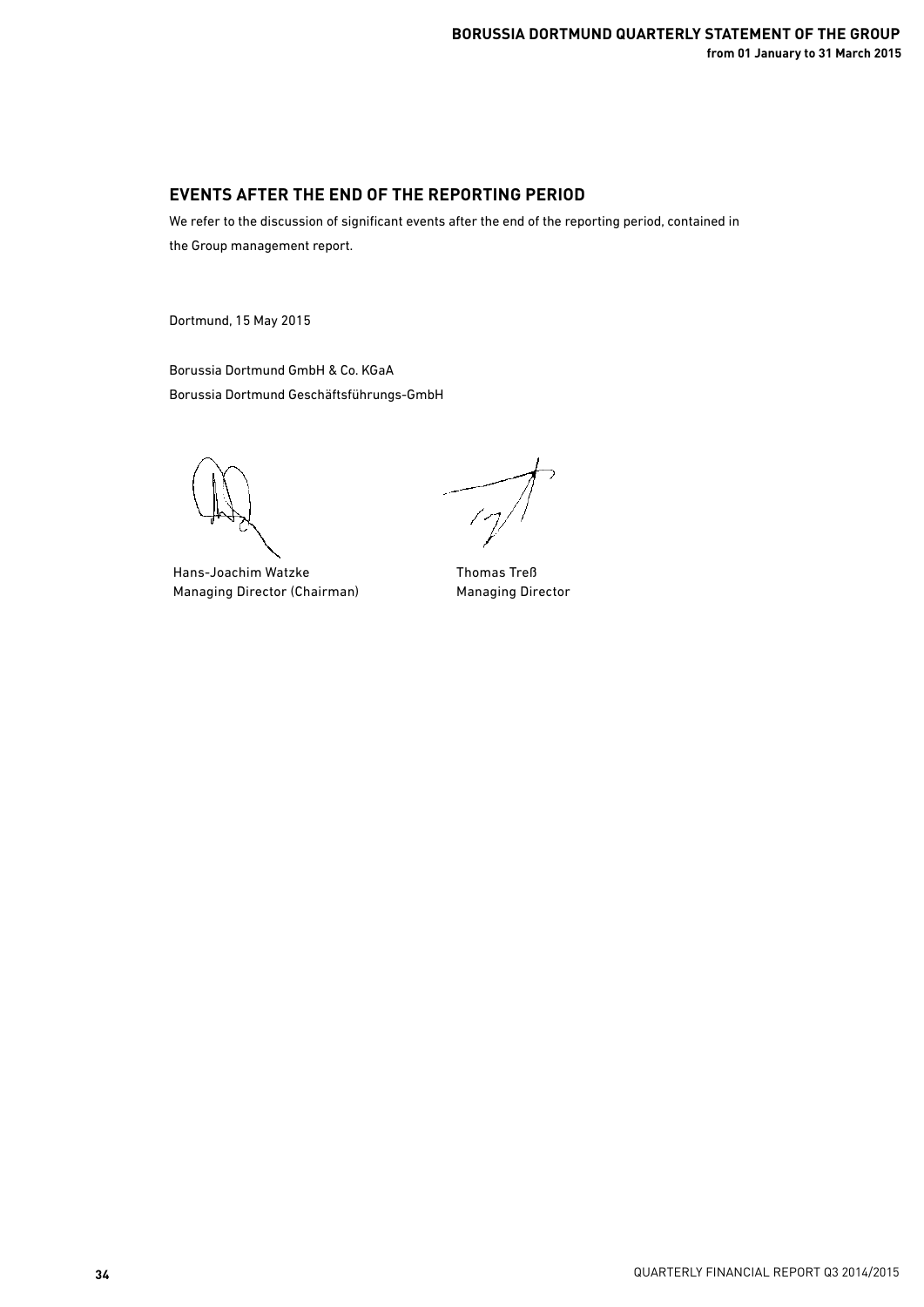## **EVENTS AFTER THE END OF THE REPORTING PERIOD**

We refer to the discussion of significant events after the end of the reporting period, contained in the Group management report.

Dortmund, 15 May 2015

Borussia Dortmund GmbH & Co. KGaA Borussia Dortmund Geschäftsführungs-GmbH

Hans-Joachim Watzke Managing Director (Chairman)

 $\frac{1}{2}$ 

Thomas Treß Managing Director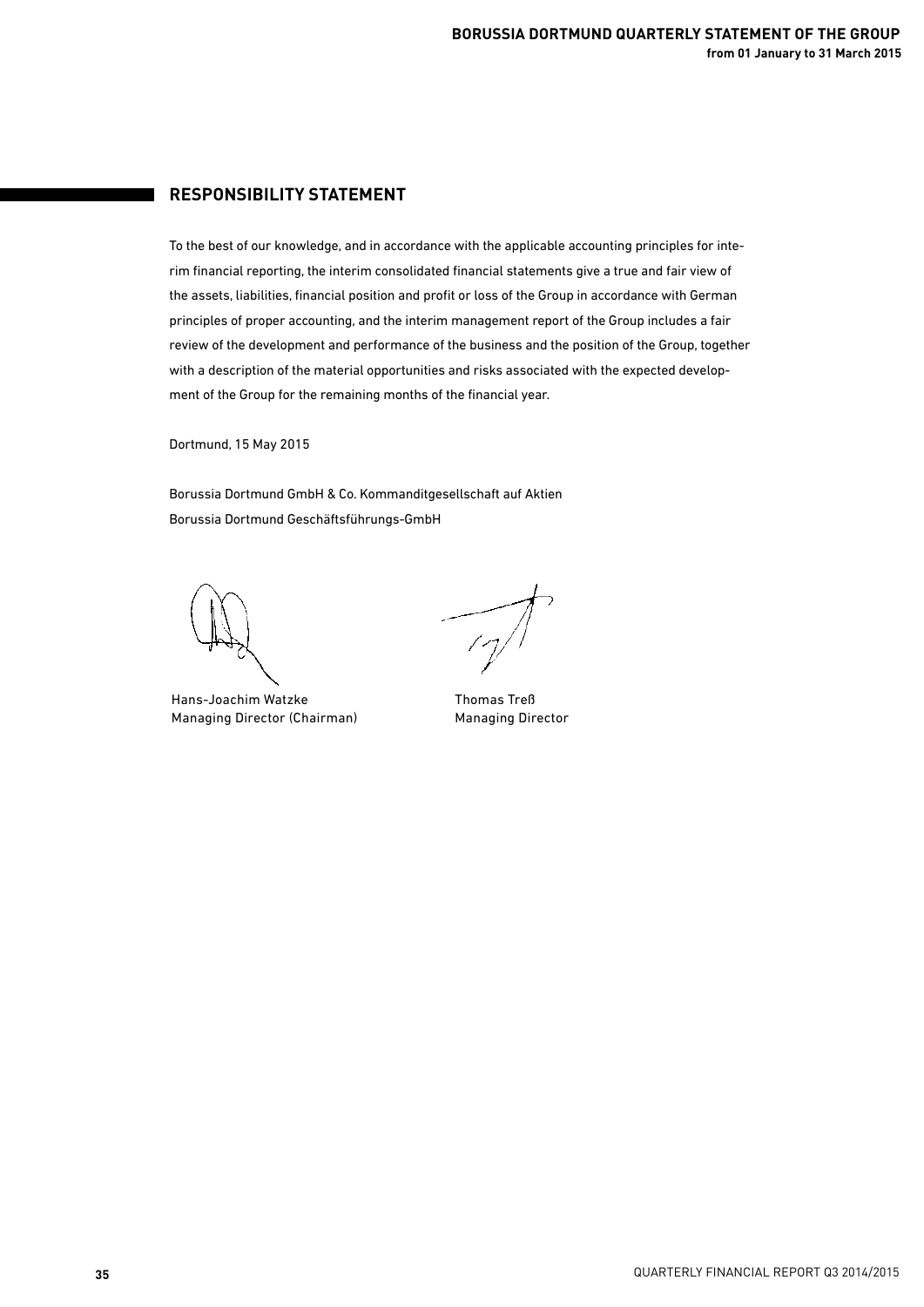## **RESPONSIBILITY STATEMENT**

To the best of our knowledge, and in accordance with the applicable accounting principles for interim financial reporting, the interim consolidated financial statements give a true and fair view of the assets, liabilities, financial position and profit or loss of the Group in accordance with German principles of proper accounting, and the interim management report of the Group includes a fair review of the development and performance of the business and the position of the Group, together with a description of the material opportunities and risks associated with the expected development of the Group for the remaining months of the financial year.

Dortmund, 15 May 2015

Borussia Dortmund GmbH & Co. Kommanditgesellschaft auf Aktien Borussia Dortmund Geschäftsführungs-GmbH

Hans-Joachim Watzke Managing Director (Chairman)

 $\frac{1}{\sqrt{2}}$ 

Thomas Treß Managing Director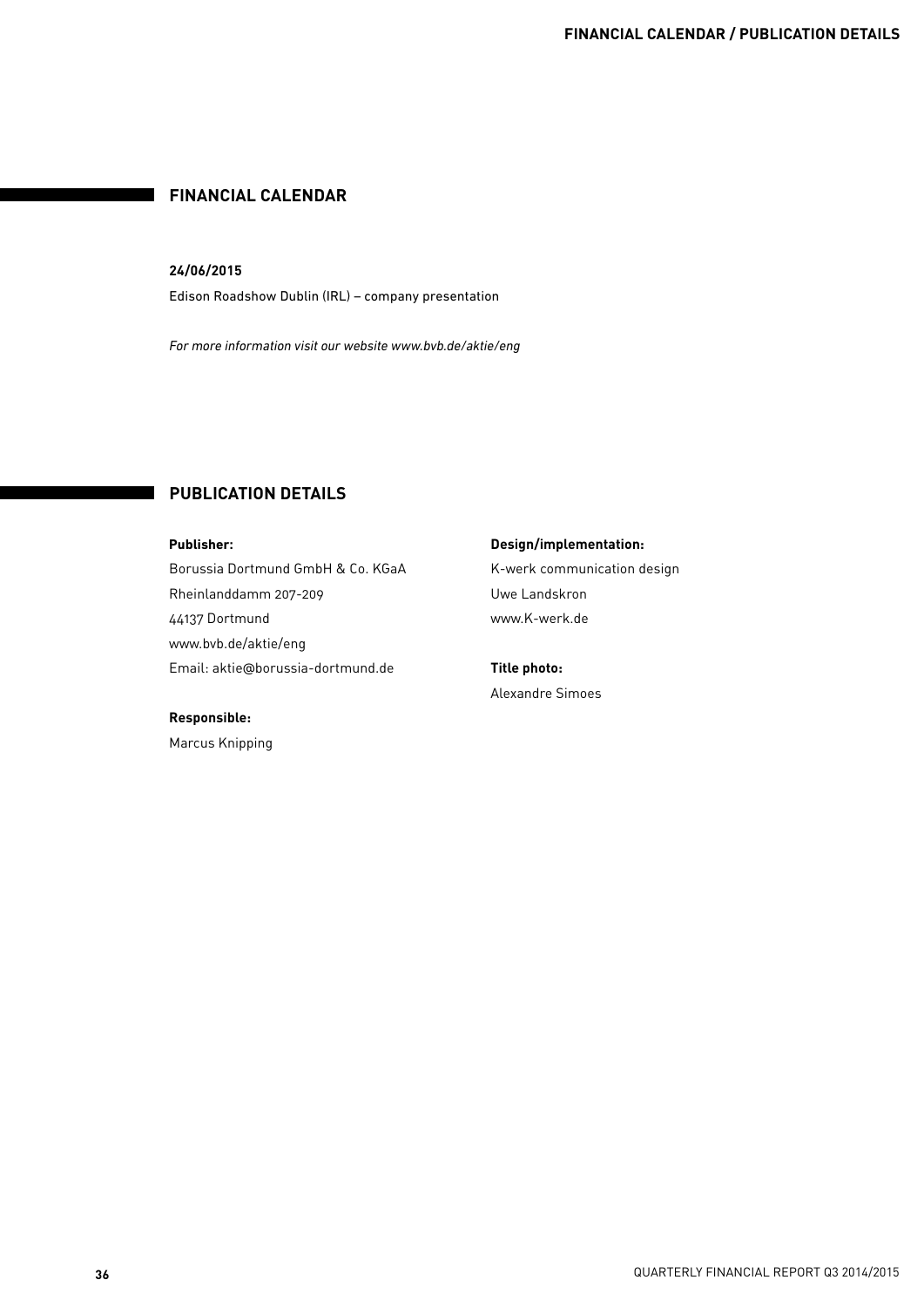## **FINANCIAL CALENDAR**

### **24/06/2015**

Edison Roadshow Dublin (IRL) – company presentation

*For more information visit our website www.bvb.de/aktie/eng*

## **PUBLICATION DETAILS**

**Publisher:** Borussia Dortmund GmbH & Co. KGaA Rheinlanddamm 207-209 44137 Dortmund www.bvb.de/aktie/eng Email: aktie@borussia-dortmund.de

#### **Responsible:**

Marcus Knipping

**Design/implementation:** K-werk communication design Uwe Landskron www.K-werk.de

**Title photo:**  Alexandre Simoes